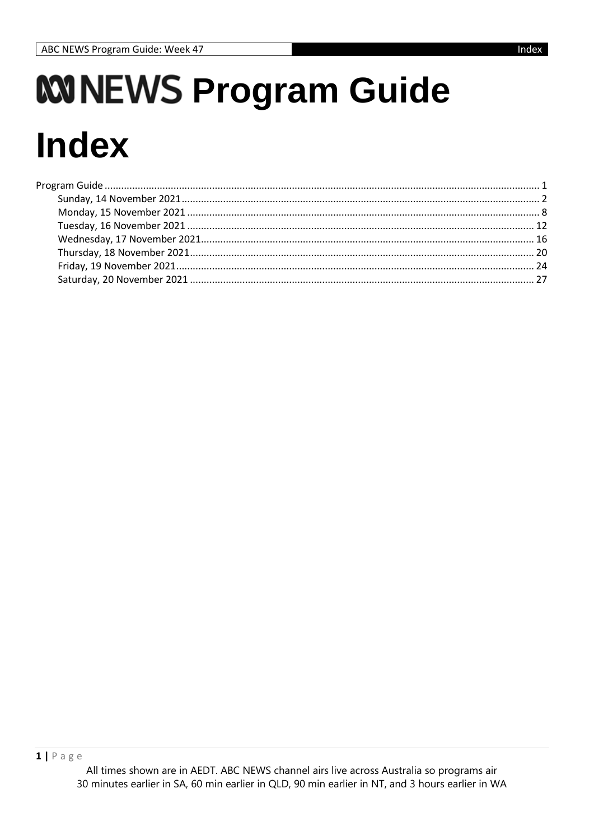# *WINEWS Program Guide* **Index**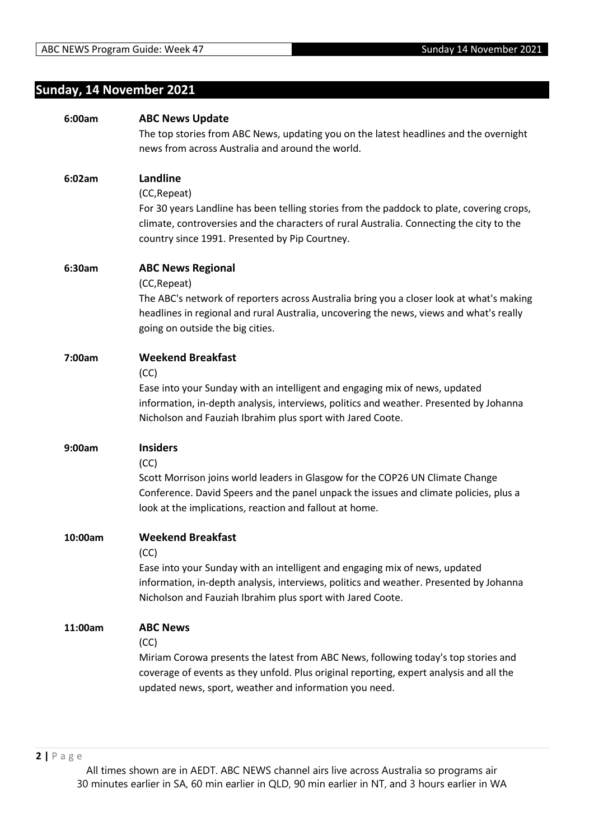### **Sunday, 14 November 2021**

| 6:00am  | <b>ABC News Update</b>                                                                    |
|---------|-------------------------------------------------------------------------------------------|
|         | The top stories from ABC News, updating you on the latest headlines and the overnight     |
|         | news from across Australia and around the world.                                          |
|         |                                                                                           |
| 6:02am  | Landline                                                                                  |
|         | (CC, Repeat)                                                                              |
|         | For 30 years Landline has been telling stories from the paddock to plate, covering crops, |
|         | climate, controversies and the characters of rural Australia. Connecting the city to the  |
|         | country since 1991. Presented by Pip Courtney.                                            |
|         |                                                                                           |
| 6:30am  | <b>ABC News Regional</b>                                                                  |
|         | (CC, Repeat)                                                                              |
|         | The ABC's network of reporters across Australia bring you a closer look at what's making  |
|         | headlines in regional and rural Australia, uncovering the news, views and what's really   |
|         | going on outside the big cities.                                                          |
|         |                                                                                           |
| 7:00am  | <b>Weekend Breakfast</b>                                                                  |
|         | (CC)                                                                                      |
|         | Ease into your Sunday with an intelligent and engaging mix of news, updated               |
|         | information, in-depth analysis, interviews, politics and weather. Presented by Johanna    |
|         | Nicholson and Fauziah Ibrahim plus sport with Jared Coote.                                |
|         |                                                                                           |
| 9:00am  | <b>Insiders</b>                                                                           |
|         | (CC)                                                                                      |
|         | Scott Morrison joins world leaders in Glasgow for the COP26 UN Climate Change             |
|         | Conference. David Speers and the panel unpack the issues and climate policies, plus a     |
|         | look at the implications, reaction and fallout at home.                                   |
|         |                                                                                           |
| 10:00am | <b>Weekend Breakfast</b>                                                                  |
|         | (CC)                                                                                      |
|         | Ease into your Sunday with an intelligent and engaging mix of news, updated               |
|         | information, in-depth analysis, interviews, politics and weather. Presented by Johanna    |
|         | Nicholson and Fauziah Ibrahim plus sport with Jared Coote.                                |
|         |                                                                                           |
| 11:00am | <b>ABC News</b>                                                                           |
|         | (CC)                                                                                      |
|         | Miriam Corowa presents the latest from ABC News, following today's top stories and        |
|         | coverage of events as they unfold. Plus original reporting, expert analysis and all the   |
|         | updated news, sport, weather and information you need.                                    |
|         |                                                                                           |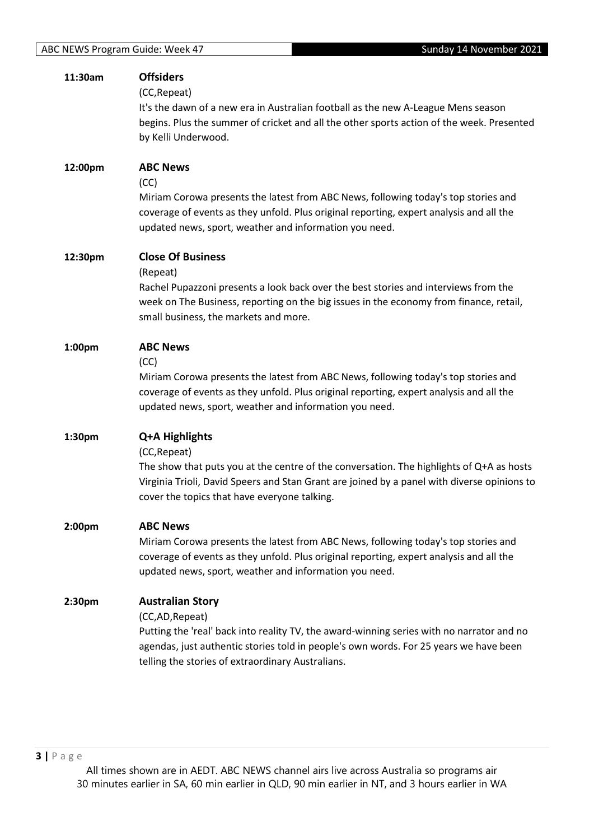| 11:30am            | <b>Offsiders</b><br>(CC, Repeat)<br>It's the dawn of a new era in Australian football as the new A-League Mens season<br>begins. Plus the summer of cricket and all the other sports action of the week. Presented<br>by Kelli Underwood.                                             |
|--------------------|---------------------------------------------------------------------------------------------------------------------------------------------------------------------------------------------------------------------------------------------------------------------------------------|
| 12:00pm            | <b>ABC News</b><br>(CC)<br>Miriam Corowa presents the latest from ABC News, following today's top stories and<br>coverage of events as they unfold. Plus original reporting, expert analysis and all the<br>updated news, sport, weather and information you need.                    |
| 12:30pm            | <b>Close Of Business</b><br>(Repeat)<br>Rachel Pupazzoni presents a look back over the best stories and interviews from the<br>week on The Business, reporting on the big issues in the economy from finance, retail,<br>small business, the markets and more.                        |
| 1:00pm             | <b>ABC News</b><br>(CC)<br>Miriam Corowa presents the latest from ABC News, following today's top stories and<br>coverage of events as they unfold. Plus original reporting, expert analysis and all the<br>updated news, sport, weather and information you need.                    |
| 1:30pm             | Q+A Highlights<br>(CC, Repeat)<br>The show that puts you at the centre of the conversation. The highlights of Q+A as hosts<br>Virginia Trioli, David Speers and Stan Grant are joined by a panel with diverse opinions to<br>cover the topics that have everyone talking.             |
| 2:00 <sub>pm</sub> | <b>ABC News</b><br>Miriam Corowa presents the latest from ABC News, following today's top stories and<br>coverage of events as they unfold. Plus original reporting, expert analysis and all the<br>updated news, sport, weather and information you need.                            |
| 2:30pm             | <b>Australian Story</b><br>(CC,AD, Repeat)<br>Putting the 'real' back into reality TV, the award-winning series with no narrator and no<br>agendas, just authentic stories told in people's own words. For 25 years we have been<br>telling the stories of extraordinary Australians. |

**3 |** P a g e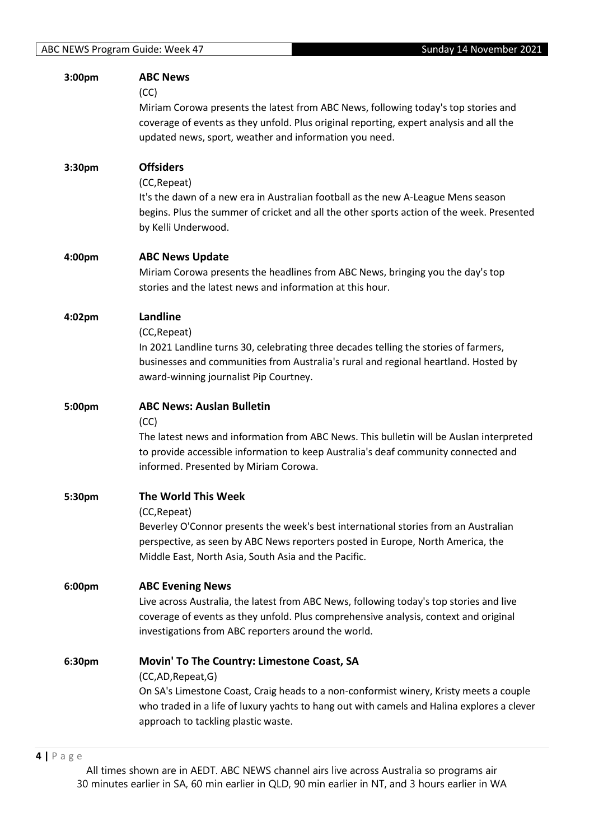| 3:00 <sub>pm</sub> | <b>ABC News</b><br>(CC)<br>Miriam Corowa presents the latest from ABC News, following today's top stories and<br>coverage of events as they unfold. Plus original reporting, expert analysis and all the<br>updated news, sport, weather and information you need.                            |
|--------------------|-----------------------------------------------------------------------------------------------------------------------------------------------------------------------------------------------------------------------------------------------------------------------------------------------|
| 3:30pm             | <b>Offsiders</b><br>(CC, Repeat)<br>It's the dawn of a new era in Australian football as the new A-League Mens season<br>begins. Plus the summer of cricket and all the other sports action of the week. Presented<br>by Kelli Underwood.                                                     |
| 4:00pm             | <b>ABC News Update</b><br>Miriam Corowa presents the headlines from ABC News, bringing you the day's top<br>stories and the latest news and information at this hour.                                                                                                                         |
| 4:02pm             | <b>Landline</b><br>(CC, Repeat)<br>In 2021 Landline turns 30, celebrating three decades telling the stories of farmers,<br>businesses and communities from Australia's rural and regional heartland. Hosted by<br>award-winning journalist Pip Courtney.                                      |
| 5:00pm             | <b>ABC News: Auslan Bulletin</b><br>(CC)<br>The latest news and information from ABC News. This bulletin will be Auslan interpreted<br>to provide accessible information to keep Australia's deaf community connected and<br>informed. Presented by Miriam Corowa.                            |
| 5:30pm             | <b>The World This Week</b><br>(CC, Repeat)<br>Beverley O'Connor presents the week's best international stories from an Australian<br>perspective, as seen by ABC News reporters posted in Europe, North America, the<br>Middle East, North Asia, South Asia and the Pacific.                  |
| 6:00pm             | <b>ABC Evening News</b><br>Live across Australia, the latest from ABC News, following today's top stories and live<br>coverage of events as they unfold. Plus comprehensive analysis, context and original<br>investigations from ABC reporters around the world.                             |
| 6:30pm             | Movin' To The Country: Limestone Coast, SA<br>(CC,AD,Repeat,G)<br>On SA's Limestone Coast, Craig heads to a non-conformist winery, Kristy meets a couple<br>who traded in a life of luxury yachts to hang out with camels and Halina explores a clever<br>approach to tackling plastic waste. |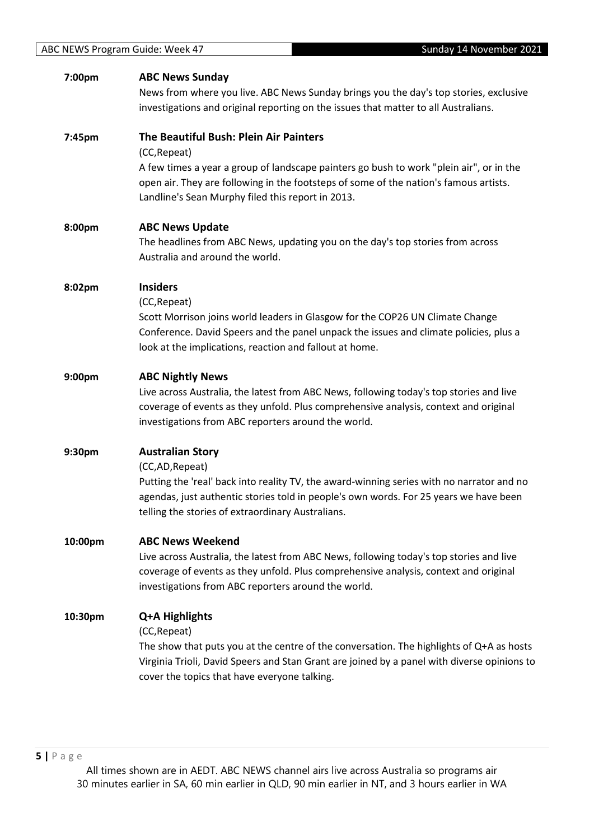| 7:00pm  | <b>ABC News Sunday</b>                                                                      |
|---------|---------------------------------------------------------------------------------------------|
|         | News from where you live. ABC News Sunday brings you the day's top stories, exclusive       |
|         | investigations and original reporting on the issues that matter to all Australians.         |
| 7:45pm  | The Beautiful Bush: Plein Air Painters                                                      |
|         | (CC, Repeat)                                                                                |
|         | A few times a year a group of landscape painters go bush to work "plein air", or in the     |
|         | open air. They are following in the footsteps of some of the nation's famous artists.       |
|         | Landline's Sean Murphy filed this report in 2013.                                           |
| 8:00pm  | <b>ABC News Update</b>                                                                      |
|         | The headlines from ABC News, updating you on the day's top stories from across              |
|         | Australia and around the world.                                                             |
|         | <b>Insiders</b>                                                                             |
| 8:02pm  | (CC, Repeat)                                                                                |
|         | Scott Morrison joins world leaders in Glasgow for the COP26 UN Climate Change               |
|         | Conference. David Speers and the panel unpack the issues and climate policies, plus a       |
|         | look at the implications, reaction and fallout at home.                                     |
| 9:00pm  | <b>ABC Nightly News</b>                                                                     |
|         | Live across Australia, the latest from ABC News, following today's top stories and live     |
|         | coverage of events as they unfold. Plus comprehensive analysis, context and original        |
|         | investigations from ABC reporters around the world.                                         |
| 9:30pm  | <b>Australian Story</b>                                                                     |
|         | (CC,AD, Repeat)                                                                             |
|         | Putting the 'real' back into reality TV, the award-winning series with no narrator and no   |
|         | agendas, just authentic stories told in people's own words. For 25 years we have been       |
|         | telling the stories of extraordinary Australians.                                           |
| 10:00pm | <b>ABC News Weekend</b>                                                                     |
|         | Live across Australia, the latest from ABC News, following today's top stories and live     |
|         | coverage of events as they unfold. Plus comprehensive analysis, context and original        |
|         | investigations from ABC reporters around the world.                                         |
| 10:30pm | Q+A Highlights                                                                              |
|         | (CC, Repeat)                                                                                |
|         | The show that puts you at the centre of the conversation. The highlights of Q+A as hosts    |
|         | Virginia Trioli, David Speers and Stan Grant are joined by a panel with diverse opinions to |
|         | cover the topics that have everyone talking.                                                |
|         |                                                                                             |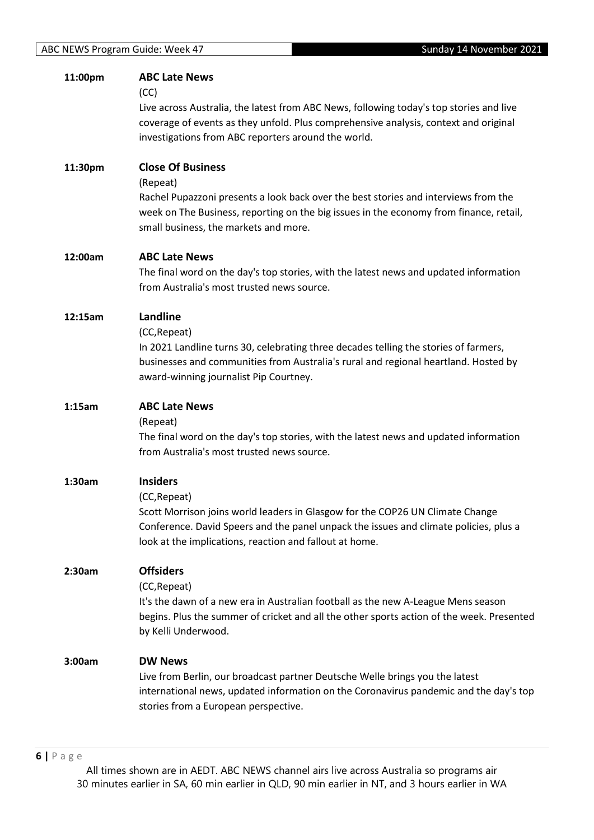| 11:00pm | <b>ABC Late News</b><br>(CC)<br>Live across Australia, the latest from ABC News, following today's top stories and live<br>coverage of events as they unfold. Plus comprehensive analysis, context and original<br>investigations from ABC reporters around the world. |
|---------|------------------------------------------------------------------------------------------------------------------------------------------------------------------------------------------------------------------------------------------------------------------------|
| 11:30pm | <b>Close Of Business</b><br>(Repeat)<br>Rachel Pupazzoni presents a look back over the best stories and interviews from the<br>week on The Business, reporting on the big issues in the economy from finance, retail,<br>small business, the markets and more.         |
| 12:00am | <b>ABC Late News</b><br>The final word on the day's top stories, with the latest news and updated information<br>from Australia's most trusted news source.                                                                                                            |
| 12:15am | Landline<br>(CC, Repeat)<br>In 2021 Landline turns 30, celebrating three decades telling the stories of farmers,<br>businesses and communities from Australia's rural and regional heartland. Hosted by<br>award-winning journalist Pip Courtney.                      |
| 1:15am  | <b>ABC Late News</b><br>(Repeat)<br>The final word on the day's top stories, with the latest news and updated information<br>from Australia's most trusted news source.                                                                                                |
| 1:30am  | <b>Insiders</b><br>(CC, Repeat)<br>Scott Morrison joins world leaders in Glasgow for the COP26 UN Climate Change<br>Conference. David Speers and the panel unpack the issues and climate policies, plus a<br>look at the implications, reaction and fallout at home.   |
| 2:30am  | <b>Offsiders</b><br>(CC, Repeat)<br>It's the dawn of a new era in Australian football as the new A-League Mens season<br>begins. Plus the summer of cricket and all the other sports action of the week. Presented<br>by Kelli Underwood.                              |
| 3:00am  | <b>DW News</b><br>Live from Berlin, our broadcast partner Deutsche Welle brings you the latest<br>international news, updated information on the Coronavirus pandemic and the day's top<br>stories from a European perspective.                                        |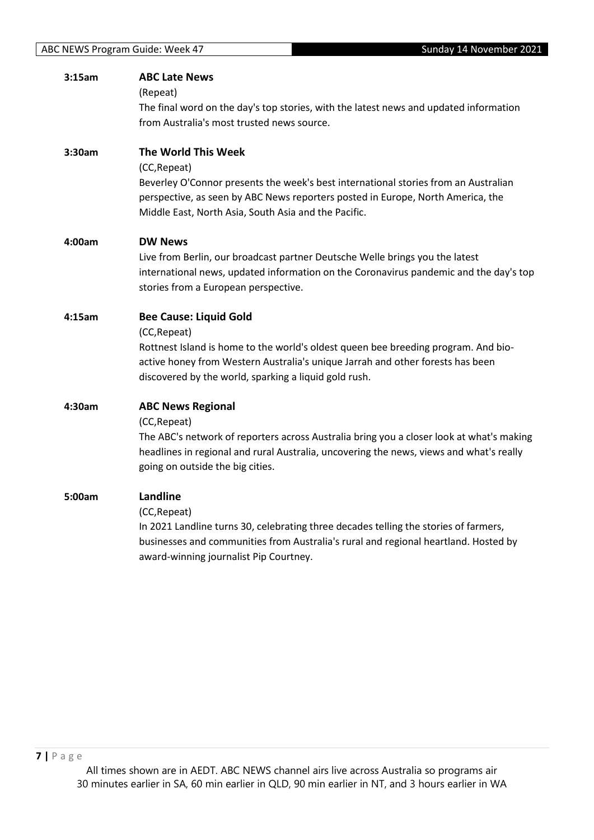| 3:15am | <b>ABC Late News</b><br>(Repeat)<br>The final word on the day's top stories, with the latest news and updated information<br>from Australia's most trusted news source.                                                                                                        |
|--------|--------------------------------------------------------------------------------------------------------------------------------------------------------------------------------------------------------------------------------------------------------------------------------|
| 3:30am | The World This Week<br>(CC, Repeat)<br>Beverley O'Connor presents the week's best international stories from an Australian<br>perspective, as seen by ABC News reporters posted in Europe, North America, the<br>Middle East, North Asia, South Asia and the Pacific.          |
| 4:00am | <b>DW News</b><br>Live from Berlin, our broadcast partner Deutsche Welle brings you the latest<br>international news, updated information on the Coronavirus pandemic and the day's top<br>stories from a European perspective.                                                |
| 4:15am | <b>Bee Cause: Liquid Gold</b><br>(CC, Repeat)<br>Rottnest Island is home to the world's oldest queen bee breeding program. And bio-<br>active honey from Western Australia's unique Jarrah and other forests has been<br>discovered by the world, sparking a liquid gold rush. |
| 4:30am | <b>ABC News Regional</b><br>(CC, Repeat)<br>The ABC's network of reporters across Australia bring you a closer look at what's making<br>headlines in regional and rural Australia, uncovering the news, views and what's really<br>going on outside the big cities.            |
| 5:00am | Landline<br>(CC, Repeat)<br>In 2021 Landline turns 30, celebrating three decades telling the stories of farmers,<br>businesses and communities from Australia's rural and regional heartland. Hosted by<br>award-winning journalist Pip Courtney.                              |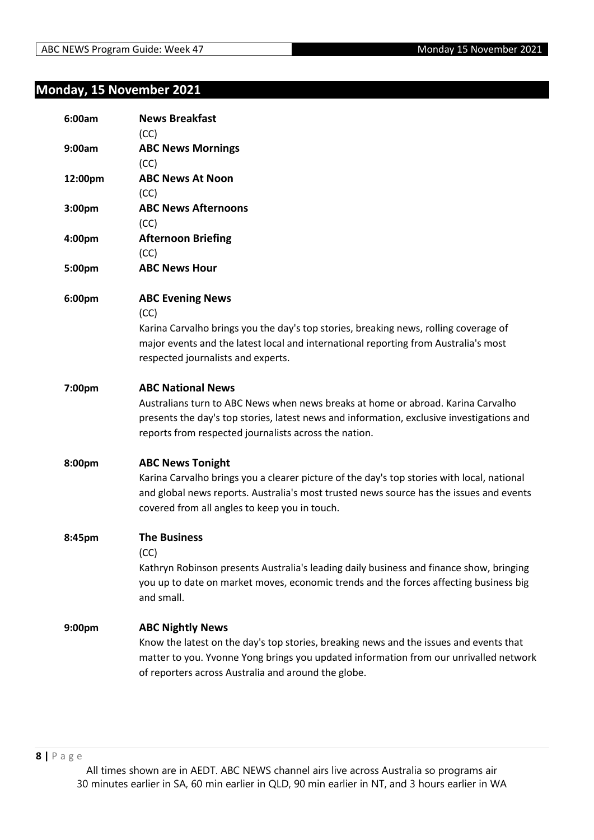#### **Monday, 15 November 2021**

| 6:00am  | <b>News Breakfast</b><br>(CC)                                                                                                                                                                                                                                      |
|---------|--------------------------------------------------------------------------------------------------------------------------------------------------------------------------------------------------------------------------------------------------------------------|
| 9:00am  | <b>ABC News Mornings</b><br>(CC)                                                                                                                                                                                                                                   |
| 12:00pm | <b>ABC News At Noon</b><br>(CC)                                                                                                                                                                                                                                    |
| 3:00pm  | <b>ABC News Afternoons</b><br>(CC)                                                                                                                                                                                                                                 |
| 4:00pm  | <b>Afternoon Briefing</b><br>(CC)                                                                                                                                                                                                                                  |
| 5:00pm  | <b>ABC News Hour</b>                                                                                                                                                                                                                                               |
| 6:00pm  | <b>ABC Evening News</b><br>(CC)<br>Karina Carvalho brings you the day's top stories, breaking news, rolling coverage of<br>major events and the latest local and international reporting from Australia's most<br>respected journalists and experts.               |
| 7:00pm  | <b>ABC National News</b><br>Australians turn to ABC News when news breaks at home or abroad. Karina Carvalho<br>presents the day's top stories, latest news and information, exclusive investigations and<br>reports from respected journalists across the nation. |
| 8:00pm  | <b>ABC News Tonight</b><br>Karina Carvalho brings you a clearer picture of the day's top stories with local, national<br>and global news reports. Australia's most trusted news source has the issues and events<br>covered from all angles to keep you in touch.  |
| 8:45pm  | <b>The Business</b><br>(CC)<br>Kathryn Robinson presents Australia's leading daily business and finance show, bringing<br>you up to date on market moves, economic trends and the forces affecting business big<br>and small.                                      |
| 9:00pm  | <b>ABC Nightly News</b><br>Know the latest on the day's top stories, breaking news and the issues and events that<br>matter to you. Yvonne Yong brings you updated information from our unrivalled network<br>of reporters across Australia and around the globe.  |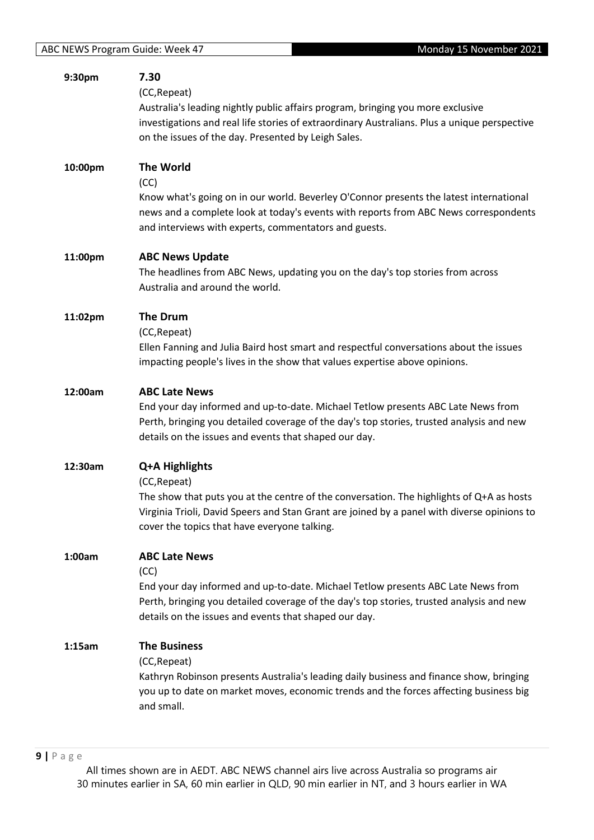| 9:30pm  | 7.30<br>(CC, Repeat)<br>Australia's leading nightly public affairs program, bringing you more exclusive<br>investigations and real life stories of extraordinary Australians. Plus a unique perspective<br>on the issues of the day. Presented by Leigh Sales.            |
|---------|---------------------------------------------------------------------------------------------------------------------------------------------------------------------------------------------------------------------------------------------------------------------------|
| 10:00pm | <b>The World</b><br>(CC)<br>Know what's going on in our world. Beverley O'Connor presents the latest international<br>news and a complete look at today's events with reports from ABC News correspondents<br>and interviews with experts, commentators and guests.       |
| 11:00pm | <b>ABC News Update</b><br>The headlines from ABC News, updating you on the day's top stories from across<br>Australia and around the world.                                                                                                                               |
| 11:02pm | <b>The Drum</b><br>(CC, Repeat)<br>Ellen Fanning and Julia Baird host smart and respectful conversations about the issues<br>impacting people's lives in the show that values expertise above opinions.                                                                   |
| 12:00am | <b>ABC Late News</b><br>End your day informed and up-to-date. Michael Tetlow presents ABC Late News from<br>Perth, bringing you detailed coverage of the day's top stories, trusted analysis and new<br>details on the issues and events that shaped our day.             |
| 12:30am | Q+A Highlights<br>(CC, Repeat)<br>The show that puts you at the centre of the conversation. The highlights of Q+A as hosts<br>Virginia Trioli, David Speers and Stan Grant are joined by a panel with diverse opinions to<br>cover the topics that have everyone talking. |
| 1:00am  | <b>ABC Late News</b><br>(CC)<br>End your day informed and up-to-date. Michael Tetlow presents ABC Late News from<br>Perth, bringing you detailed coverage of the day's top stories, trusted analysis and new<br>details on the issues and events that shaped our day.     |
| 1:15am  | <b>The Business</b><br>(CC, Repeat)<br>Kathryn Robinson presents Australia's leading daily business and finance show, bringing<br>you up to date on market moves, economic trends and the forces affecting business big<br>and small.                                     |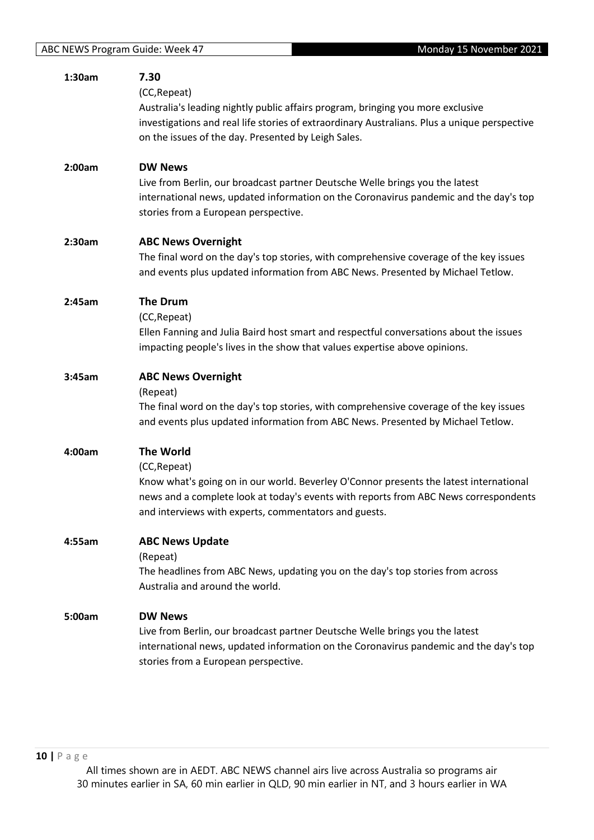| 1:30am | 7.30<br>(CC, Repeat)<br>Australia's leading nightly public affairs program, bringing you more exclusive<br>investigations and real life stories of extraordinary Australians. Plus a unique perspective<br>on the issues of the day. Presented by Leigh Sales.              |
|--------|-----------------------------------------------------------------------------------------------------------------------------------------------------------------------------------------------------------------------------------------------------------------------------|
| 2:00am | <b>DW News</b><br>Live from Berlin, our broadcast partner Deutsche Welle brings you the latest<br>international news, updated information on the Coronavirus pandemic and the day's top<br>stories from a European perspective.                                             |
| 2:30am | <b>ABC News Overnight</b><br>The final word on the day's top stories, with comprehensive coverage of the key issues<br>and events plus updated information from ABC News. Presented by Michael Tetlow.                                                                      |
| 2:45am | <b>The Drum</b><br>(CC, Repeat)<br>Ellen Fanning and Julia Baird host smart and respectful conversations about the issues<br>impacting people's lives in the show that values expertise above opinions.                                                                     |
| 3:45am | <b>ABC News Overnight</b><br>(Repeat)<br>The final word on the day's top stories, with comprehensive coverage of the key issues<br>and events plus updated information from ABC News. Presented by Michael Tetlow.                                                          |
| 4:00am | <b>The World</b><br>(CC, Repeat)<br>Know what's going on in our world. Beverley O'Connor presents the latest international<br>news and a complete look at today's events with reports from ABC News correspondents<br>and interviews with experts, commentators and guests. |
| 4:55am | <b>ABC News Update</b><br>(Repeat)<br>The headlines from ABC News, updating you on the day's top stories from across<br>Australia and around the world.                                                                                                                     |
| 5:00am | <b>DW News</b><br>Live from Berlin, our broadcast partner Deutsche Welle brings you the latest<br>international news, updated information on the Coronavirus pandemic and the day's top<br>stories from a European perspective.                                             |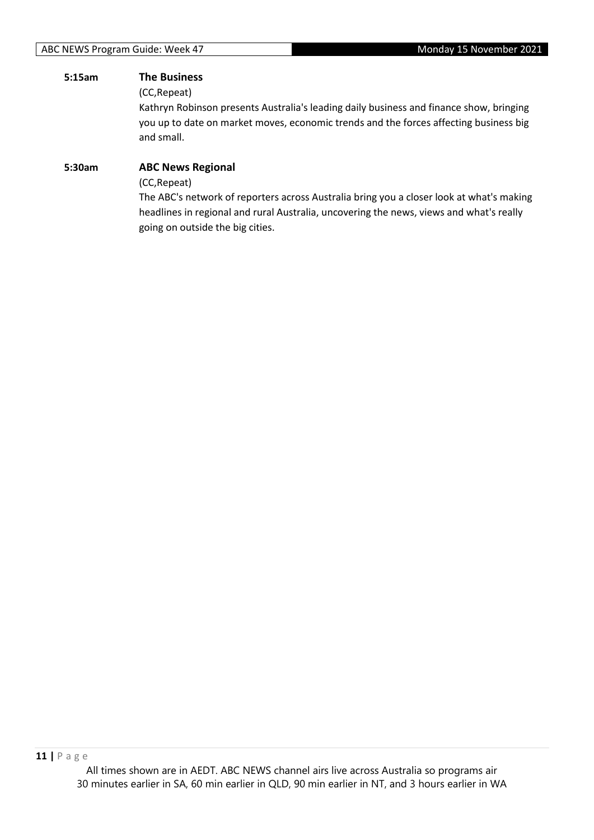#### **5:15am The Business**

(CC,Repeat)

Kathryn Robinson presents Australia's leading daily business and finance show, bringing you up to date on market moves, economic trends and the forces affecting business big and small.

### **5:30am ABC News Regional** (CC,Repeat) The ABC's network of reporters across Australia bring you a closer look at what's making

headlines in regional and rural Australia, uncovering the news, views and what's really going on outside the big cities.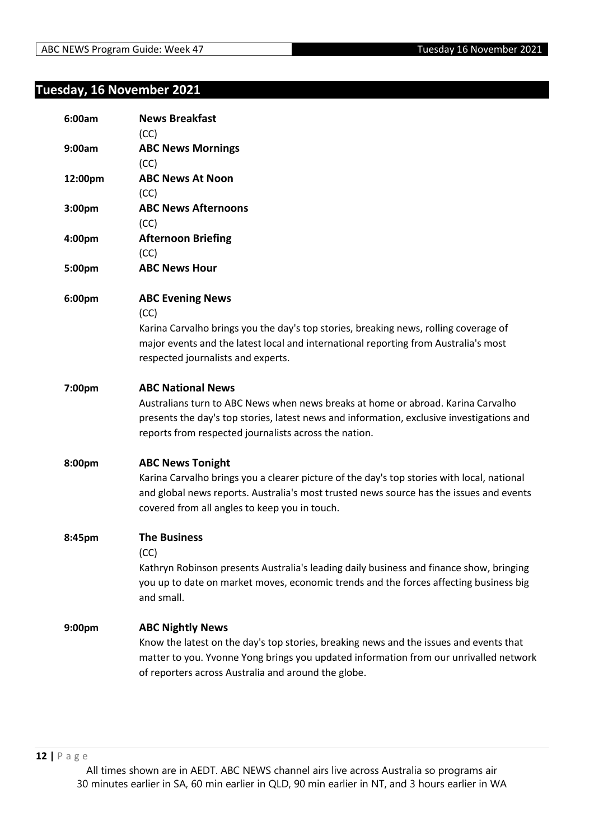## **Tuesday, 16 November 2021**

| 6:00am  | <b>News Breakfast</b><br>(CC)                                                                                                                                                                                                                                      |
|---------|--------------------------------------------------------------------------------------------------------------------------------------------------------------------------------------------------------------------------------------------------------------------|
| 9:00am  | <b>ABC News Mornings</b><br>(CC)                                                                                                                                                                                                                                   |
| 12:00pm | <b>ABC News At Noon</b><br>(CC)                                                                                                                                                                                                                                    |
| 3:00pm  | <b>ABC News Afternoons</b><br>(CC)                                                                                                                                                                                                                                 |
| 4:00pm  | <b>Afternoon Briefing</b><br>(CC)                                                                                                                                                                                                                                  |
| 5:00pm  | <b>ABC News Hour</b>                                                                                                                                                                                                                                               |
| 6:00pm  | <b>ABC Evening News</b><br>(CC)<br>Karina Carvalho brings you the day's top stories, breaking news, rolling coverage of<br>major events and the latest local and international reporting from Australia's most<br>respected journalists and experts.               |
| 7:00pm  | <b>ABC National News</b><br>Australians turn to ABC News when news breaks at home or abroad. Karina Carvalho<br>presents the day's top stories, latest news and information, exclusive investigations and<br>reports from respected journalists across the nation. |
| 8:00pm  | <b>ABC News Tonight</b><br>Karina Carvalho brings you a clearer picture of the day's top stories with local, national<br>and global news reports. Australia's most trusted news source has the issues and events<br>covered from all angles to keep you in touch.  |
| 8:45pm  | <b>The Business</b><br>(CC)<br>Kathryn Robinson presents Australia's leading daily business and finance show, bringing<br>you up to date on market moves, economic trends and the forces affecting business big<br>and small.                                      |
| 9:00pm  | <b>ABC Nightly News</b><br>Know the latest on the day's top stories, breaking news and the issues and events that<br>matter to you. Yvonne Yong brings you updated information from our unrivalled network<br>of reporters across Australia and around the globe.  |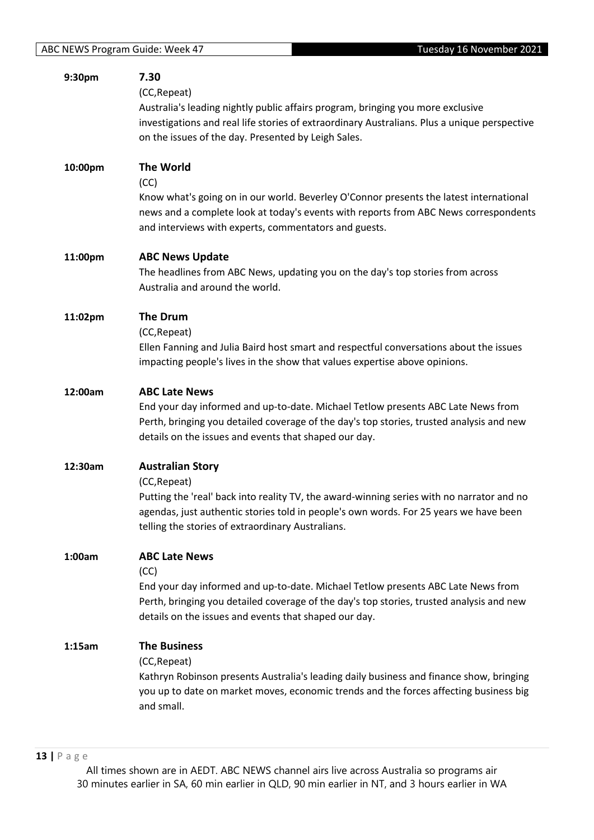| 9:30pm  | 7.30<br>(CC, Repeat)<br>Australia's leading nightly public affairs program, bringing you more exclusive<br>investigations and real life stories of extraordinary Australians. Plus a unique perspective<br>on the issues of the day. Presented by Leigh Sales.                     |
|---------|------------------------------------------------------------------------------------------------------------------------------------------------------------------------------------------------------------------------------------------------------------------------------------|
| 10:00pm | <b>The World</b><br>(CC)<br>Know what's going on in our world. Beverley O'Connor presents the latest international<br>news and a complete look at today's events with reports from ABC News correspondents<br>and interviews with experts, commentators and guests.                |
| 11:00pm | <b>ABC News Update</b><br>The headlines from ABC News, updating you on the day's top stories from across<br>Australia and around the world.                                                                                                                                        |
| 11:02pm | <b>The Drum</b><br>(CC, Repeat)<br>Ellen Fanning and Julia Baird host smart and respectful conversations about the issues<br>impacting people's lives in the show that values expertise above opinions.                                                                            |
| 12:00am | <b>ABC Late News</b><br>End your day informed and up-to-date. Michael Tetlow presents ABC Late News from<br>Perth, bringing you detailed coverage of the day's top stories, trusted analysis and new<br>details on the issues and events that shaped our day.                      |
| 12:30am | <b>Australian Story</b><br>(CC, Repeat)<br>Putting the 'real' back into reality TV, the award-winning series with no narrator and no<br>agendas, just authentic stories told in people's own words. For 25 years we have been<br>telling the stories of extraordinary Australians. |
| 1:00am  | <b>ABC Late News</b><br>(CC)<br>End your day informed and up-to-date. Michael Tetlow presents ABC Late News from<br>Perth, bringing you detailed coverage of the day's top stories, trusted analysis and new<br>details on the issues and events that shaped our day.              |
| 1:15am  | <b>The Business</b><br>(CC, Repeat)<br>Kathryn Robinson presents Australia's leading daily business and finance show, bringing<br>you up to date on market moves, economic trends and the forces affecting business big<br>and small.                                              |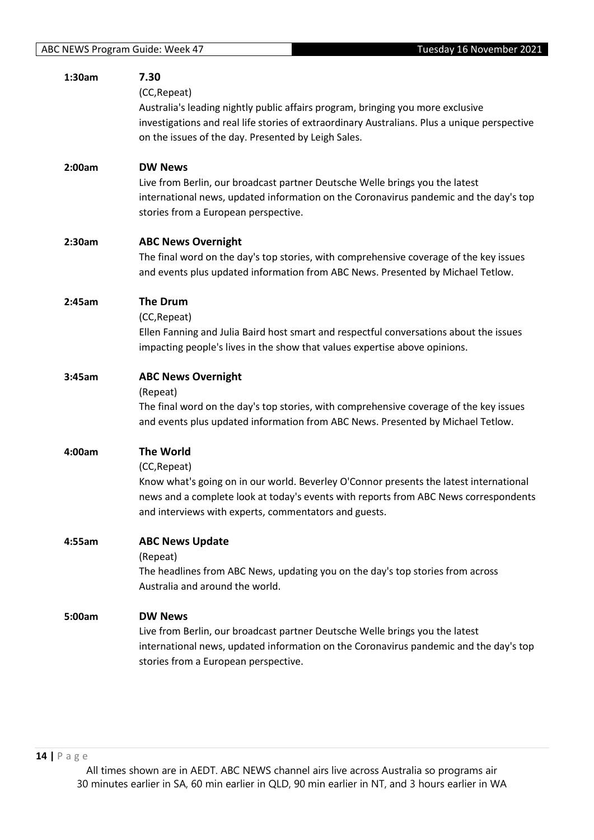| 1:30am | 7.30<br>(CC, Repeat)<br>Australia's leading nightly public affairs program, bringing you more exclusive<br>investigations and real life stories of extraordinary Australians. Plus a unique perspective<br>on the issues of the day. Presented by Leigh Sales.              |
|--------|-----------------------------------------------------------------------------------------------------------------------------------------------------------------------------------------------------------------------------------------------------------------------------|
| 2:00am | <b>DW News</b><br>Live from Berlin, our broadcast partner Deutsche Welle brings you the latest<br>international news, updated information on the Coronavirus pandemic and the day's top<br>stories from a European perspective.                                             |
| 2:30am | <b>ABC News Overnight</b><br>The final word on the day's top stories, with comprehensive coverage of the key issues<br>and events plus updated information from ABC News. Presented by Michael Tetlow.                                                                      |
| 2:45am | <b>The Drum</b><br>(CC, Repeat)<br>Ellen Fanning and Julia Baird host smart and respectful conversations about the issues<br>impacting people's lives in the show that values expertise above opinions.                                                                     |
| 3:45am | <b>ABC News Overnight</b><br>(Repeat)<br>The final word on the day's top stories, with comprehensive coverage of the key issues<br>and events plus updated information from ABC News. Presented by Michael Tetlow.                                                          |
| 4:00am | <b>The World</b><br>(CC, Repeat)<br>Know what's going on in our world. Beverley O'Connor presents the latest international<br>news and a complete look at today's events with reports from ABC News correspondents<br>and interviews with experts, commentators and guests. |
| 4:55am | <b>ABC News Update</b><br>(Repeat)<br>The headlines from ABC News, updating you on the day's top stories from across<br>Australia and around the world.                                                                                                                     |
| 5:00am | <b>DW News</b><br>Live from Berlin, our broadcast partner Deutsche Welle brings you the latest<br>international news, updated information on the Coronavirus pandemic and the day's top<br>stories from a European perspective.                                             |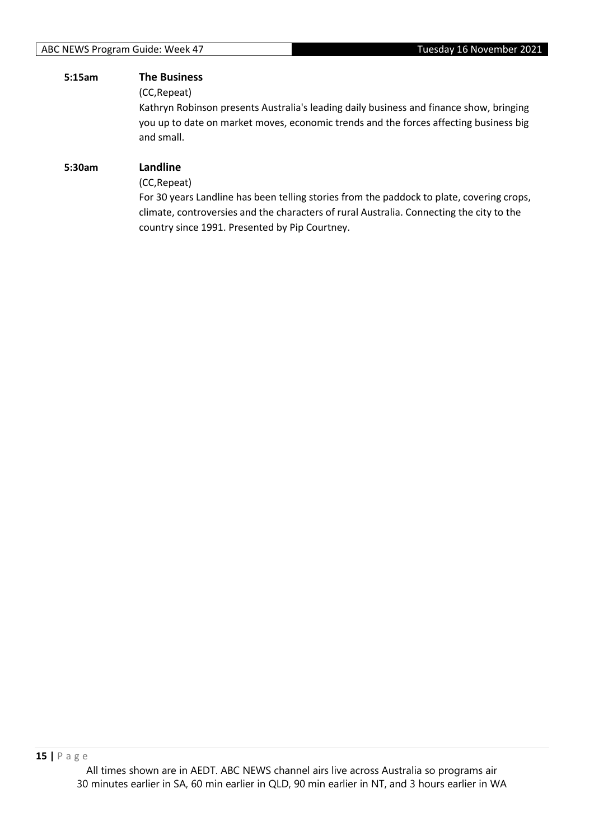# **5:15am The Business**

(CC,Repeat)

Kathryn Robinson presents Australia's leading daily business and finance show, bringing you up to date on market moves, economic trends and the forces affecting business big and small.

#### **5:30am Landline**

(CC,Repeat)

For 30 years Landline has been telling stories from the paddock to plate, covering crops, climate, controversies and the characters of rural Australia. Connecting the city to the country since 1991. Presented by Pip Courtney.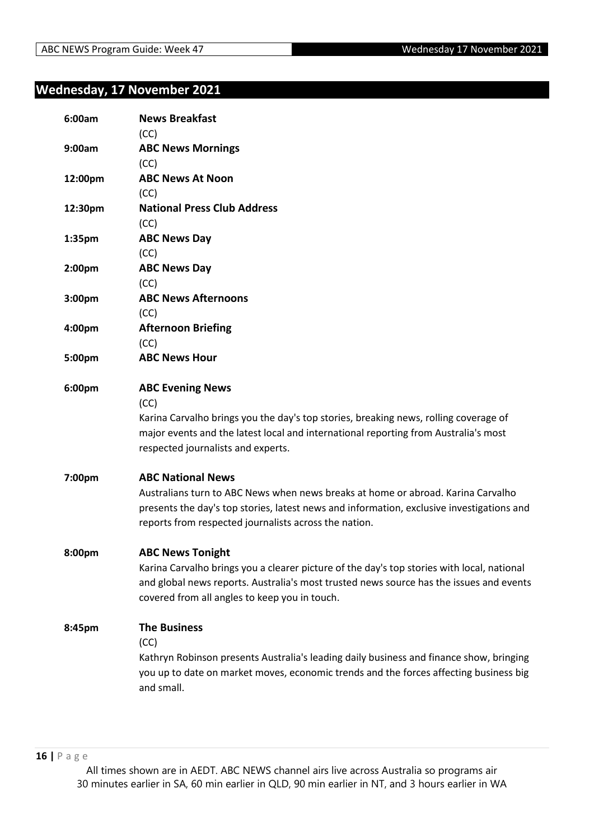#### **Wednesday, 17 November 2021**

| 6:00am             | <b>News Breakfast</b><br>(CC)                                                                                                                                                                                                          |
|--------------------|----------------------------------------------------------------------------------------------------------------------------------------------------------------------------------------------------------------------------------------|
| 9:00am             | <b>ABC News Mornings</b>                                                                                                                                                                                                               |
|                    | (CC)                                                                                                                                                                                                                                   |
| 12:00pm            | <b>ABC News At Noon</b>                                                                                                                                                                                                                |
|                    | (CC)                                                                                                                                                                                                                                   |
| 12:30pm            | <b>National Press Club Address</b>                                                                                                                                                                                                     |
|                    | (CC)                                                                                                                                                                                                                                   |
| 1:35pm             | <b>ABC News Day</b>                                                                                                                                                                                                                    |
|                    | (CC)                                                                                                                                                                                                                                   |
| 2:00pm             | <b>ABC News Day</b>                                                                                                                                                                                                                    |
|                    | (CC)                                                                                                                                                                                                                                   |
| 3:00pm             | <b>ABC News Afternoons</b>                                                                                                                                                                                                             |
|                    | (CC)                                                                                                                                                                                                                                   |
| 4:00pm             | <b>Afternoon Briefing</b>                                                                                                                                                                                                              |
|                    | (CC)                                                                                                                                                                                                                                   |
| 5:00pm             | <b>ABC News Hour</b>                                                                                                                                                                                                                   |
| 6:00pm             | <b>ABC Evening News</b>                                                                                                                                                                                                                |
|                    | (CC)                                                                                                                                                                                                                                   |
|                    | Karina Carvalho brings you the day's top stories, breaking news, rolling coverage of<br>major events and the latest local and international reporting from Australia's most<br>respected journalists and experts.                      |
| 7:00pm             | <b>ABC National News</b>                                                                                                                                                                                                               |
|                    | Australians turn to ABC News when news breaks at home or abroad. Karina Carvalho<br>presents the day's top stories, latest news and information, exclusive investigations and<br>reports from respected journalists across the nation. |
| 8:00 <sub>pm</sub> | <b>ABC News Tonight</b>                                                                                                                                                                                                                |
|                    | Karina Carvalho brings you a clearer picture of the day's top stories with local, national<br>and global news reports. Australia's most trusted news source has the issues and events<br>covered from all angles to keep you in touch. |
| 8:45pm             | <b>The Business</b><br>(CC)                                                                                                                                                                                                            |
|                    | Kathryn Robinson presents Australia's leading daily business and finance show, bringing<br>you up to date on market moves, economic trends and the forces affecting business big<br>and small.                                         |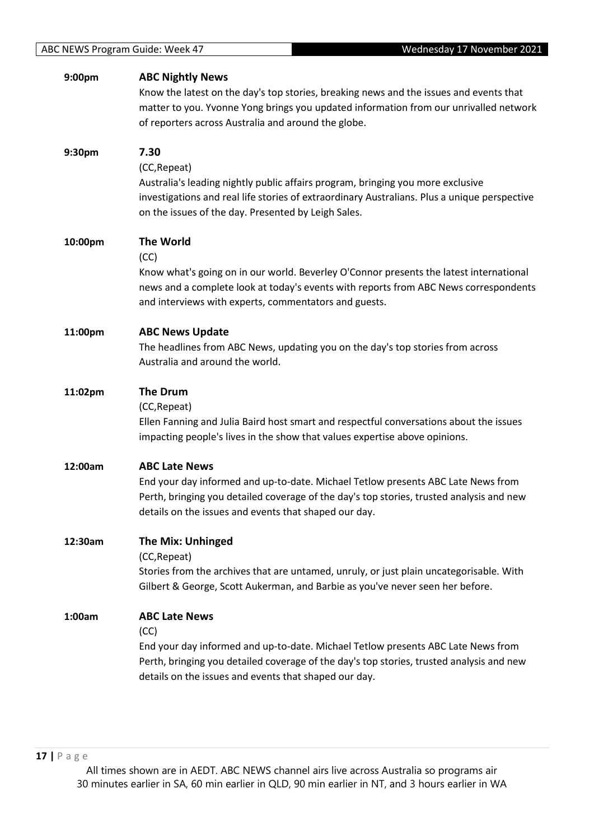| 9:00pm  | <b>ABC Nightly News</b><br>Know the latest on the day's top stories, breaking news and the issues and events that                                                                                                                       |
|---------|-----------------------------------------------------------------------------------------------------------------------------------------------------------------------------------------------------------------------------------------|
|         | matter to you. Yvonne Yong brings you updated information from our unrivalled network<br>of reporters across Australia and around the globe.                                                                                            |
| 9:30pm  | 7.30<br>(CC, Repeat)                                                                                                                                                                                                                    |
|         | Australia's leading nightly public affairs program, bringing you more exclusive<br>investigations and real life stories of extraordinary Australians. Plus a unique perspective<br>on the issues of the day. Presented by Leigh Sales.  |
| 10:00pm | <b>The World</b><br>(CC)                                                                                                                                                                                                                |
|         | Know what's going on in our world. Beverley O'Connor presents the latest international<br>news and a complete look at today's events with reports from ABC News correspondents<br>and interviews with experts, commentators and guests. |
| 11:00pm | <b>ABC News Update</b>                                                                                                                                                                                                                  |
|         | The headlines from ABC News, updating you on the day's top stories from across<br>Australia and around the world.                                                                                                                       |
| 11:02pm | <b>The Drum</b><br>(CC, Repeat)                                                                                                                                                                                                         |
|         | Ellen Fanning and Julia Baird host smart and respectful conversations about the issues<br>impacting people's lives in the show that values expertise above opinions.                                                                    |
| 12:00am | <b>ABC Late News</b>                                                                                                                                                                                                                    |
|         | End your day informed and up-to-date. Michael Tetlow presents ABC Late News from<br>Perth, bringing you detailed coverage of the day's top stories, trusted analysis and new<br>details on the issues and events that shaped our day.   |
| 12:30am | <b>The Mix: Unhinged</b>                                                                                                                                                                                                                |
|         | (CC, Repeat)<br>Stories from the archives that are untamed, unruly, or just plain uncategorisable. With<br>Gilbert & George, Scott Aukerman, and Barbie as you've never seen her before.                                                |
| 1:00am  | <b>ABC Late News</b>                                                                                                                                                                                                                    |
|         | (CC)<br>End your day informed and up-to-date. Michael Tetlow presents ABC Late News from                                                                                                                                                |
|         | Perth, bringing you detailed coverage of the day's top stories, trusted analysis and new<br>details on the issues and events that shaped our day.                                                                                       |
|         |                                                                                                                                                                                                                                         |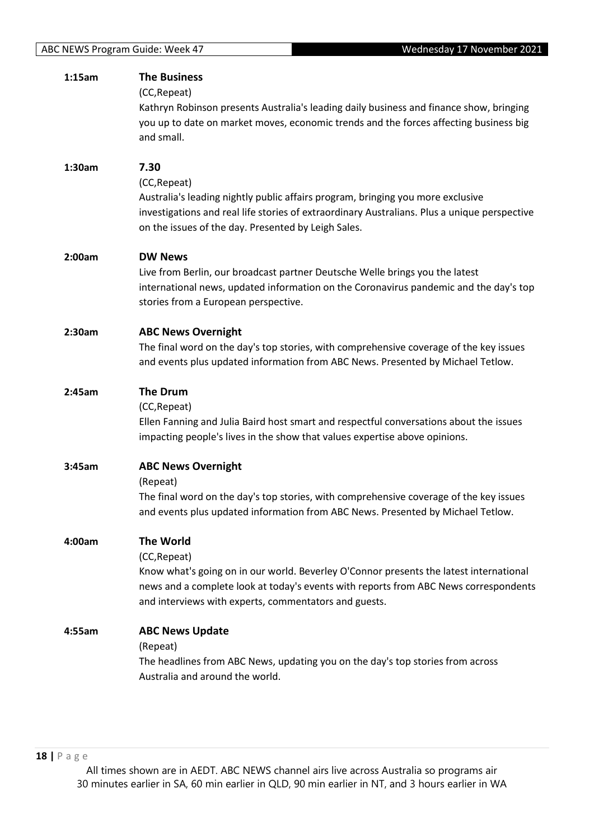|        | <b>The Business</b>                                                                                               |
|--------|-------------------------------------------------------------------------------------------------------------------|
|        | (CC, Repeat)                                                                                                      |
|        | Kathryn Robinson presents Australia's leading daily business and finance show, bringing                           |
|        | you up to date on market moves, economic trends and the forces affecting business big                             |
|        | and small.                                                                                                        |
| 1:30am | 7.30                                                                                                              |
|        | (CC, Repeat)                                                                                                      |
|        | Australia's leading nightly public affairs program, bringing you more exclusive                                   |
|        | investigations and real life stories of extraordinary Australians. Plus a unique perspective                      |
|        | on the issues of the day. Presented by Leigh Sales.                                                               |
| 2:00am | <b>DW News</b>                                                                                                    |
|        | Live from Berlin, our broadcast partner Deutsche Welle brings you the latest                                      |
|        | international news, updated information on the Coronavirus pandemic and the day's top                             |
|        | stories from a European perspective.                                                                              |
| 2:30am | <b>ABC News Overnight</b>                                                                                         |
|        | The final word on the day's top stories, with comprehensive coverage of the key issues                            |
|        | and events plus updated information from ABC News. Presented by Michael Tetlow.                                   |
| 2:45am | <b>The Drum</b>                                                                                                   |
|        | (CC, Repeat)                                                                                                      |
|        | Ellen Fanning and Julia Baird host smart and respectful conversations about the issues                            |
|        | impacting people's lives in the show that values expertise above opinions.                                        |
| 3:45am | <b>ABC News Overnight</b>                                                                                         |
|        | (Repeat)                                                                                                          |
|        |                                                                                                                   |
|        | The final word on the day's top stories, with comprehensive coverage of the key issues                            |
|        | and events plus updated information from ABC News. Presented by Michael Tetlow.                                   |
| 4:00am | <b>The World</b>                                                                                                  |
|        | (CC, Repeat)                                                                                                      |
|        | Know what's going on in our world. Beverley O'Connor presents the latest international                            |
|        | news and a complete look at today's events with reports from ABC News correspondents                              |
|        | and interviews with experts, commentators and guests.                                                             |
| 4:55am | <b>ABC News Update</b>                                                                                            |
|        | (Repeat)                                                                                                          |
|        | The headlines from ABC News, updating you on the day's top stories from across<br>Australia and around the world. |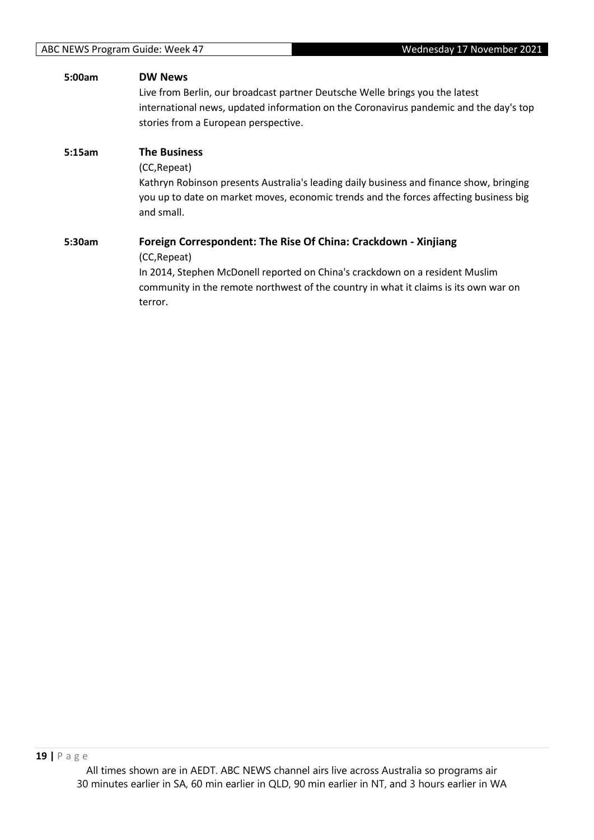| 5:00am | <b>DW News</b>                                                                          |
|--------|-----------------------------------------------------------------------------------------|
|        | Live from Berlin, our broadcast partner Deutsche Welle brings you the latest            |
|        | international news, updated information on the Coronavirus pandemic and the day's top   |
|        | stories from a European perspective.                                                    |
| 5:15am | <b>The Business</b>                                                                     |
|        | (CC, Repeat)                                                                            |
|        | Kathryn Robinson presents Australia's leading daily business and finance show, bringing |
|        | you up to date on market moves, economic trends and the forces affecting business big   |
|        | and small.                                                                              |
| 5:30am | Foreign Correspondent: The Rise Of China: Crackdown - Xinjiang                          |
|        | (CC, Repeat)                                                                            |
|        | In 2014, Stephen McDonell reported on China's crackdown on a resident Muslim            |
|        | community in the remote northwest of the country in what it claims is its own war on    |
|        | terror.                                                                                 |
|        |                                                                                         |
|        |                                                                                         |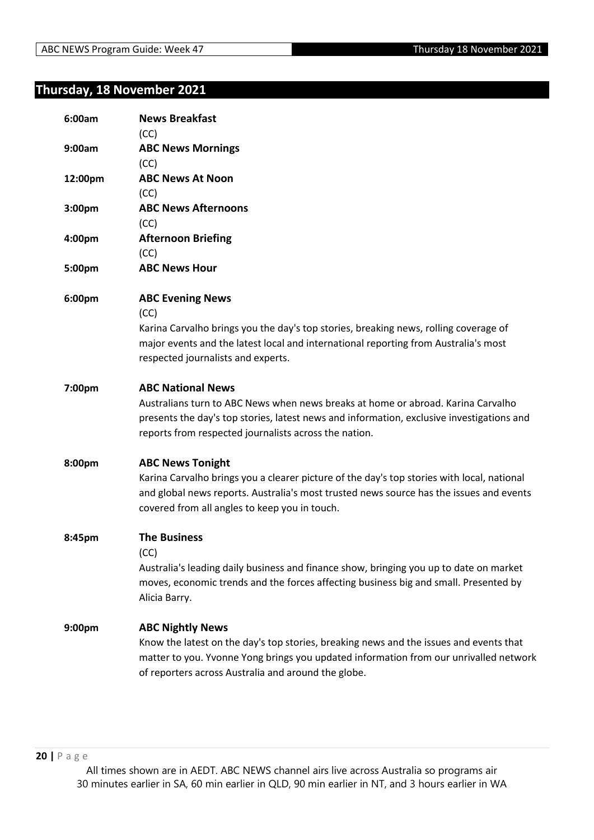#### **Thursday, 18 November 2021**

| 6:00am  | <b>News Breakfast</b><br>(CC)                                                                                                                                                                                                                                      |
|---------|--------------------------------------------------------------------------------------------------------------------------------------------------------------------------------------------------------------------------------------------------------------------|
| 9:00am  | <b>ABC News Mornings</b><br>(CC)                                                                                                                                                                                                                                   |
| 12:00pm | <b>ABC News At Noon</b><br>(CC)                                                                                                                                                                                                                                    |
| 3:00pm  | <b>ABC News Afternoons</b><br>(CC)                                                                                                                                                                                                                                 |
| 4:00pm  | <b>Afternoon Briefing</b><br>(CC)                                                                                                                                                                                                                                  |
| 5:00pm  | <b>ABC News Hour</b>                                                                                                                                                                                                                                               |
| 6:00pm  | <b>ABC Evening News</b><br>(CC)<br>Karina Carvalho brings you the day's top stories, breaking news, rolling coverage of<br>major events and the latest local and international reporting from Australia's most<br>respected journalists and experts.               |
| 7:00pm  | <b>ABC National News</b><br>Australians turn to ABC News when news breaks at home or abroad. Karina Carvalho<br>presents the day's top stories, latest news and information, exclusive investigations and<br>reports from respected journalists across the nation. |
| 8:00pm  | <b>ABC News Tonight</b><br>Karina Carvalho brings you a clearer picture of the day's top stories with local, national<br>and global news reports. Australia's most trusted news source has the issues and events<br>covered from all angles to keep you in touch.  |
| 8:45pm  | <b>The Business</b><br>(CC)<br>Australia's leading daily business and finance show, bringing you up to date on market<br>moves, economic trends and the forces affecting business big and small. Presented by<br>Alicia Barry.                                     |
| 9:00pm  | <b>ABC Nightly News</b><br>Know the latest on the day's top stories, breaking news and the issues and events that<br>matter to you. Yvonne Yong brings you updated information from our unrivalled network<br>of reporters across Australia and around the globe.  |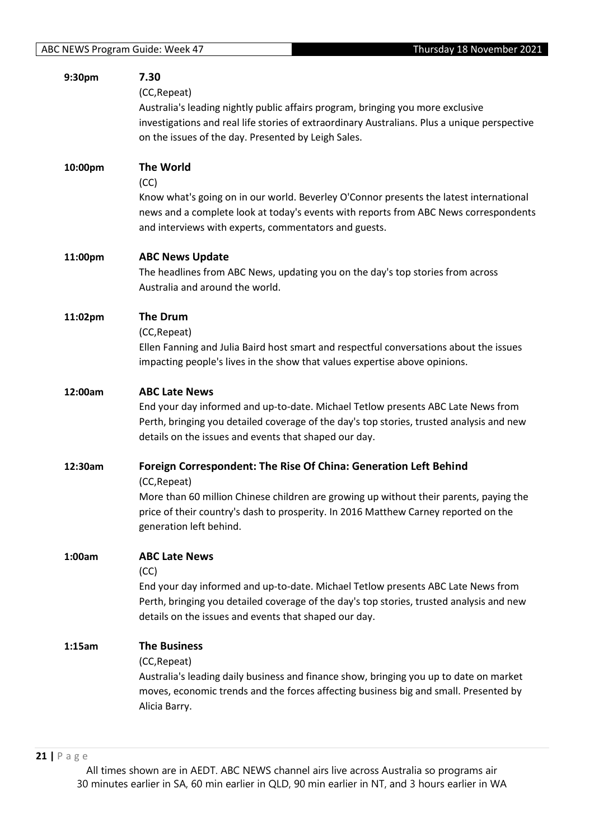| 9:30pm  | 7.30<br>(CC, Repeat)<br>Australia's leading nightly public affairs program, bringing you more exclusive<br>investigations and real life stories of extraordinary Australians. Plus a unique perspective<br>on the issues of the day. Presented by Leigh Sales.                               |
|---------|----------------------------------------------------------------------------------------------------------------------------------------------------------------------------------------------------------------------------------------------------------------------------------------------|
| 10:00pm | <b>The World</b><br>(CC)<br>Know what's going on in our world. Beverley O'Connor presents the latest international<br>news and a complete look at today's events with reports from ABC News correspondents<br>and interviews with experts, commentators and guests.                          |
| 11:00pm | <b>ABC News Update</b><br>The headlines from ABC News, updating you on the day's top stories from across<br>Australia and around the world.                                                                                                                                                  |
| 11:02pm | <b>The Drum</b><br>(CC, Repeat)<br>Ellen Fanning and Julia Baird host smart and respectful conversations about the issues<br>impacting people's lives in the show that values expertise above opinions.                                                                                      |
| 12:00am | <b>ABC Late News</b><br>End your day informed and up-to-date. Michael Tetlow presents ABC Late News from<br>Perth, bringing you detailed coverage of the day's top stories, trusted analysis and new<br>details on the issues and events that shaped our day.                                |
| 12:30am | Foreign Correspondent: The Rise Of China: Generation Left Behind<br>(CC, Repeat)<br>More than 60 million Chinese children are growing up without their parents, paying the<br>price of their country's dash to prosperity. In 2016 Matthew Carney reported on the<br>generation left behind. |
| 1:00am  | <b>ABC Late News</b><br>(CC)<br>End your day informed and up-to-date. Michael Tetlow presents ABC Late News from<br>Perth, bringing you detailed coverage of the day's top stories, trusted analysis and new<br>details on the issues and events that shaped our day.                        |
| 1:15am  | <b>The Business</b><br>(CC, Repeat)<br>Australia's leading daily business and finance show, bringing you up to date on market<br>moves, economic trends and the forces affecting business big and small. Presented by<br>Alicia Barry.                                                       |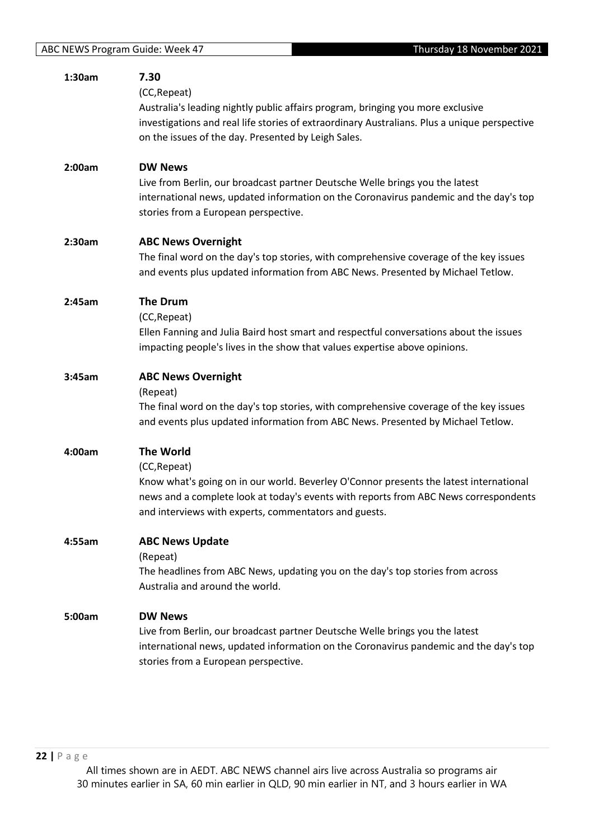| 1:30am | 7.30<br>(CC, Repeat)<br>Australia's leading nightly public affairs program, bringing you more exclusive<br>investigations and real life stories of extraordinary Australians. Plus a unique perspective<br>on the issues of the day. Presented by Leigh Sales.              |
|--------|-----------------------------------------------------------------------------------------------------------------------------------------------------------------------------------------------------------------------------------------------------------------------------|
| 2:00am | <b>DW News</b><br>Live from Berlin, our broadcast partner Deutsche Welle brings you the latest<br>international news, updated information on the Coronavirus pandemic and the day's top<br>stories from a European perspective.                                             |
| 2:30am | <b>ABC News Overnight</b><br>The final word on the day's top stories, with comprehensive coverage of the key issues<br>and events plus updated information from ABC News. Presented by Michael Tetlow.                                                                      |
| 2:45am | <b>The Drum</b><br>(CC, Repeat)<br>Ellen Fanning and Julia Baird host smart and respectful conversations about the issues<br>impacting people's lives in the show that values expertise above opinions.                                                                     |
| 3:45am | <b>ABC News Overnight</b><br>(Repeat)<br>The final word on the day's top stories, with comprehensive coverage of the key issues<br>and events plus updated information from ABC News. Presented by Michael Tetlow.                                                          |
| 4:00am | <b>The World</b><br>(CC, Repeat)<br>Know what's going on in our world. Beverley O'Connor presents the latest international<br>news and a complete look at today's events with reports from ABC News correspondents<br>and interviews with experts, commentators and guests. |
| 4:55am | <b>ABC News Update</b><br>(Repeat)<br>The headlines from ABC News, updating you on the day's top stories from across<br>Australia and around the world.                                                                                                                     |
| 5:00am | <b>DW News</b><br>Live from Berlin, our broadcast partner Deutsche Welle brings you the latest<br>international news, updated information on the Coronavirus pandemic and the day's top<br>stories from a European perspective.                                             |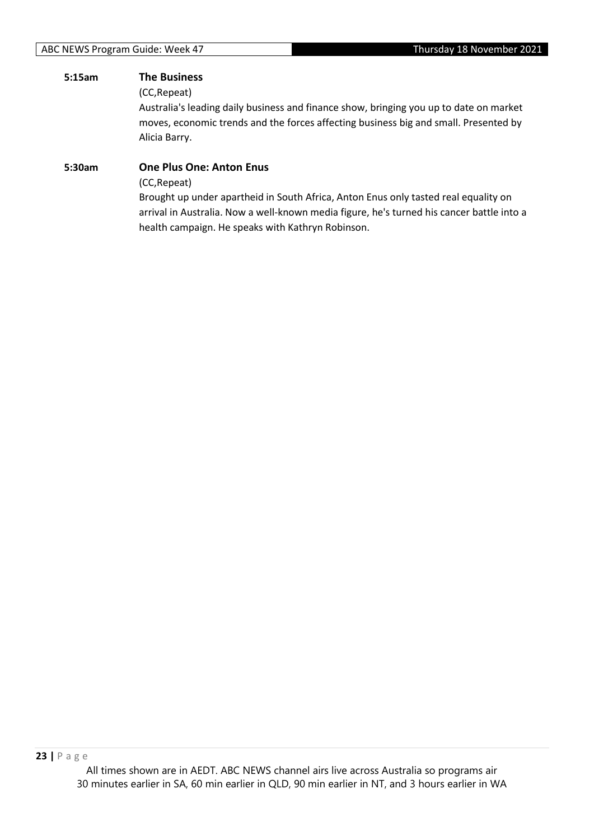#### **5:15am The Business**

(CC,Repeat)

Australia's leading daily business and finance show, bringing you up to date on market moves, economic trends and the forces affecting business big and small. Presented by Alicia Barry.

# **5:30am One Plus One: Anton Enus** (CC,Repeat)

Brought up under apartheid in South Africa, Anton Enus only tasted real equality on arrival in Australia. Now a well-known media figure, he's turned his cancer battle into a health campaign. He speaks with Kathryn Robinson.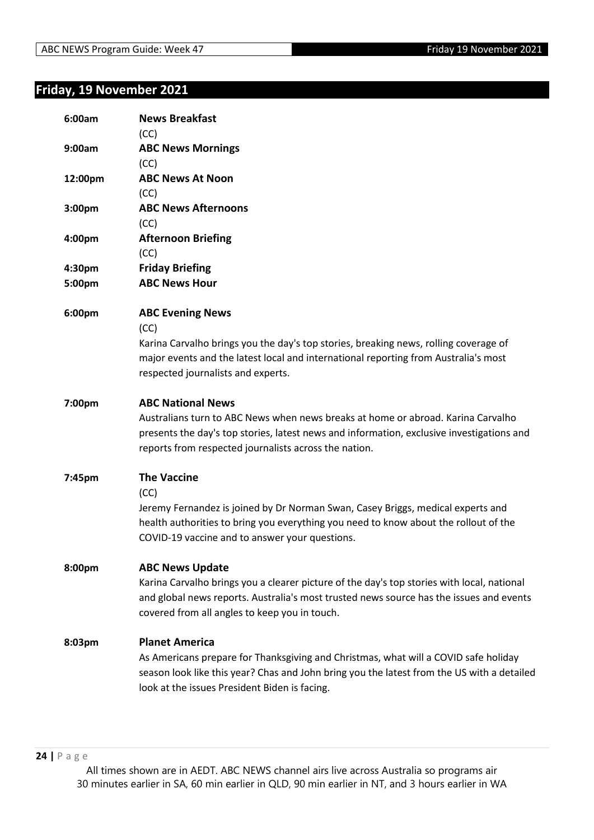#### **Friday, 19 November 2021**

| 6:00am           | <b>News Breakfast</b><br>(CC)                                                                                                                                                                                                                                      |
|------------------|--------------------------------------------------------------------------------------------------------------------------------------------------------------------------------------------------------------------------------------------------------------------|
| 9:00am           | <b>ABC News Mornings</b><br>(CC)                                                                                                                                                                                                                                   |
| 12:00pm          | <b>ABC News At Noon</b><br>(CC)                                                                                                                                                                                                                                    |
| 3:00pm           | <b>ABC News Afternoons</b><br>(CC)                                                                                                                                                                                                                                 |
| 4:00pm           | <b>Afternoon Briefing</b><br>(CC)                                                                                                                                                                                                                                  |
| 4:30pm<br>5:00pm | <b>Friday Briefing</b><br><b>ABC News Hour</b>                                                                                                                                                                                                                     |
| 6:00pm           | <b>ABC Evening News</b><br>(CC)<br>Karina Carvalho brings you the day's top stories, breaking news, rolling coverage of<br>major events and the latest local and international reporting from Australia's most<br>respected journalists and experts.               |
| 7:00pm           | <b>ABC National News</b><br>Australians turn to ABC News when news breaks at home or abroad. Karina Carvalho<br>presents the day's top stories, latest news and information, exclusive investigations and<br>reports from respected journalists across the nation. |
| 7:45pm           | <b>The Vaccine</b><br>(CC)<br>Jeremy Fernandez is joined by Dr Norman Swan, Casey Briggs, medical experts and<br>health authorities to bring you everything you need to know about the rollout of the<br>COVID-19 vaccine and to answer your questions.            |
| 8:00pm           | <b>ABC News Update</b><br>Karina Carvalho brings you a clearer picture of the day's top stories with local, national<br>and global news reports. Australia's most trusted news source has the issues and events<br>covered from all angles to keep you in touch.   |
| 8:03pm           | <b>Planet America</b><br>As Americans prepare for Thanksgiving and Christmas, what will a COVID safe holiday<br>season look like this year? Chas and John bring you the latest from the US with a detailed<br>look at the issues President Biden is facing.        |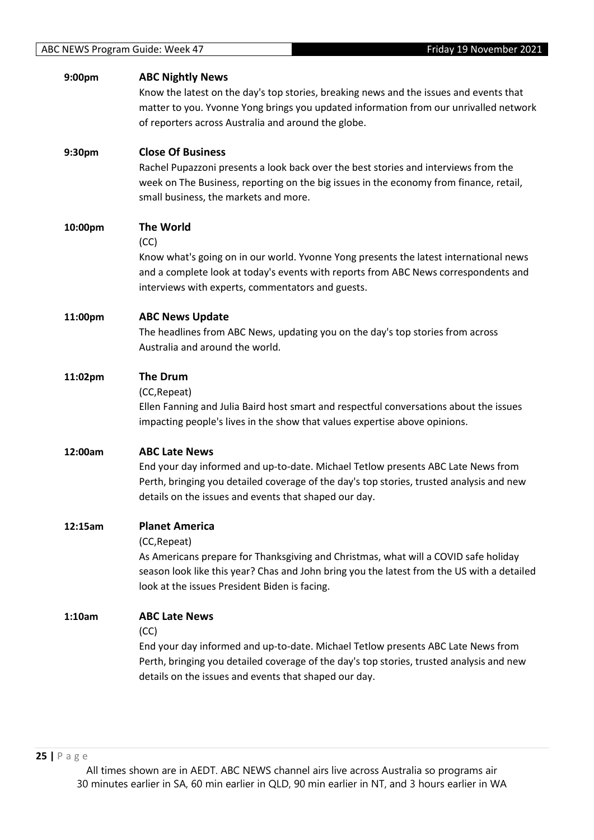| 9:00pm  | <b>ABC Nightly News</b><br>Know the latest on the day's top stories, breaking news and the issues and events that<br>matter to you. Yvonne Yong brings you updated information from our unrivalled network<br>of reporters across Australia and around the globe.           |
|---------|-----------------------------------------------------------------------------------------------------------------------------------------------------------------------------------------------------------------------------------------------------------------------------|
| 9:30pm  | <b>Close Of Business</b><br>Rachel Pupazzoni presents a look back over the best stories and interviews from the<br>week on The Business, reporting on the big issues in the economy from finance, retail,<br>small business, the markets and more.                          |
| 10:00pm | <b>The World</b><br>(CC)<br>Know what's going on in our world. Yvonne Yong presents the latest international news<br>and a complete look at today's events with reports from ABC News correspondents and<br>interviews with experts, commentators and guests.               |
| 11:00pm | <b>ABC News Update</b><br>The headlines from ABC News, updating you on the day's top stories from across<br>Australia and around the world.                                                                                                                                 |
| 11:02pm | <b>The Drum</b><br>(CC, Repeat)<br>Ellen Fanning and Julia Baird host smart and respectful conversations about the issues<br>impacting people's lives in the show that values expertise above opinions.                                                                     |
| 12:00am | <b>ABC Late News</b><br>End your day informed and up-to-date. Michael Tetlow presents ABC Late News from<br>Perth, bringing you detailed coverage of the day's top stories, trusted analysis and new<br>details on the issues and events that shaped our day.               |
| 12:15am | <b>Planet America</b><br>(CC, Repeat)<br>As Americans prepare for Thanksgiving and Christmas, what will a COVID safe holiday<br>season look like this year? Chas and John bring you the latest from the US with a detailed<br>look at the issues President Biden is facing. |
| 1:10am  | <b>ABC Late News</b><br>(CC)<br>End your day informed and up-to-date. Michael Tetlow presents ABC Late News from<br>Perth, bringing you detailed coverage of the day's top stories, trusted analysis and new<br>details on the issues and events that shaped our day.       |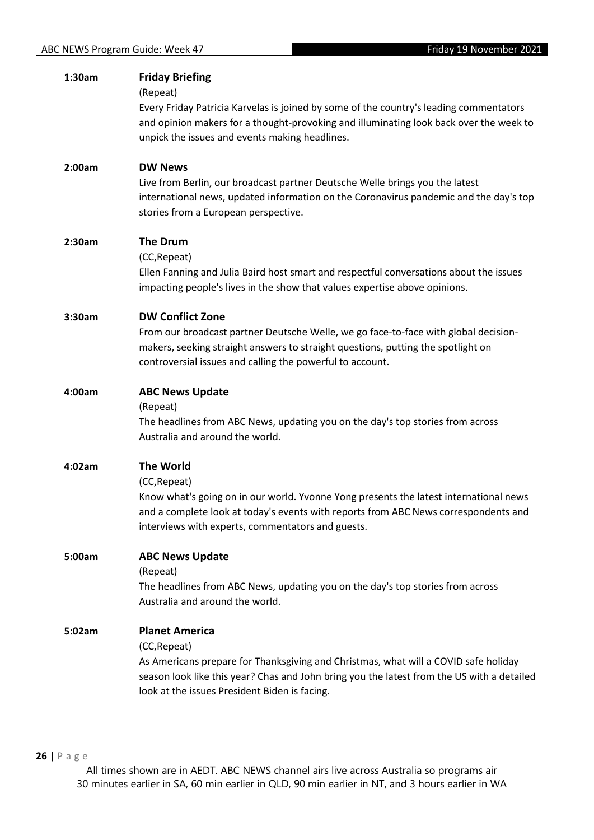| 1:30am | <b>Friday Briefing</b><br>(Repeat)<br>Every Friday Patricia Karvelas is joined by some of the country's leading commentators<br>and opinion makers for a thought-provoking and illuminating look back over the week to                                                      |
|--------|-----------------------------------------------------------------------------------------------------------------------------------------------------------------------------------------------------------------------------------------------------------------------------|
|        | unpick the issues and events making headlines.                                                                                                                                                                                                                              |
| 2:00am | <b>DW News</b><br>Live from Berlin, our broadcast partner Deutsche Welle brings you the latest<br>international news, updated information on the Coronavirus pandemic and the day's top<br>stories from a European perspective.                                             |
| 2:30am | <b>The Drum</b><br>(CC, Repeat)<br>Ellen Fanning and Julia Baird host smart and respectful conversations about the issues<br>impacting people's lives in the show that values expertise above opinions.                                                                     |
| 3:30am | <b>DW Conflict Zone</b><br>From our broadcast partner Deutsche Welle, we go face-to-face with global decision-<br>makers, seeking straight answers to straight questions, putting the spotlight on<br>controversial issues and calling the powerful to account.             |
| 4:00am | <b>ABC News Update</b><br>(Repeat)<br>The headlines from ABC News, updating you on the day's top stories from across<br>Australia and around the world.                                                                                                                     |
| 4:02am | <b>The World</b><br>(CC, Repeat)<br>Know what's going on in our world. Yvonne Yong presents the latest international news<br>and a complete look at today's events with reports from ABC News correspondents and<br>interviews with experts, commentators and guests.       |
| 5:00am | <b>ABC News Update</b><br>(Repeat)<br>The headlines from ABC News, updating you on the day's top stories from across<br>Australia and around the world.                                                                                                                     |
| 5:02am | <b>Planet America</b><br>(CC, Repeat)<br>As Americans prepare for Thanksgiving and Christmas, what will a COVID safe holiday<br>season look like this year? Chas and John bring you the latest from the US with a detailed<br>look at the issues President Biden is facing. |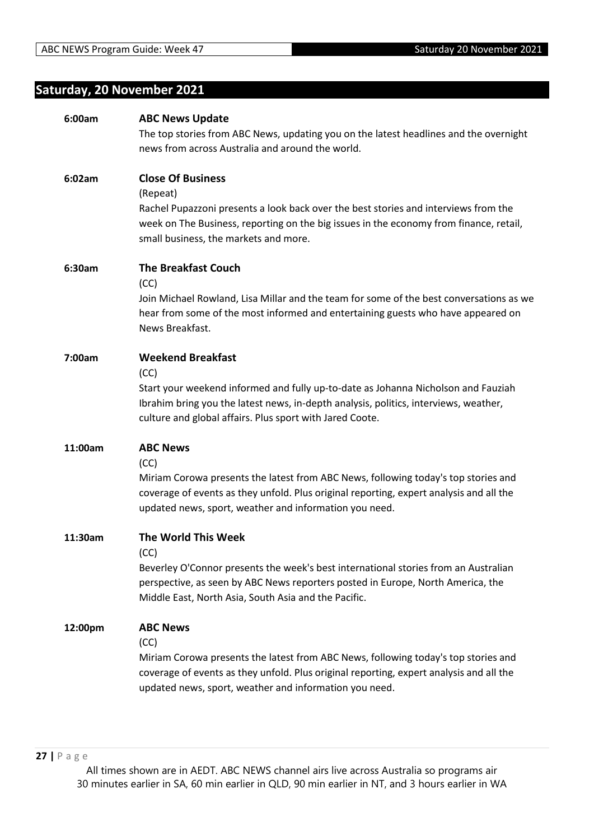# **Saturday, 20 November 2021**

| <b>ABC News Update</b>                                                                                                                                                                                                                                                    |
|---------------------------------------------------------------------------------------------------------------------------------------------------------------------------------------------------------------------------------------------------------------------------|
| The top stories from ABC News, updating you on the latest headlines and the overnight                                                                                                                                                                                     |
| news from across Australia and around the world.                                                                                                                                                                                                                          |
| <b>Close Of Business</b><br>(Repeat)<br>Rachel Pupazzoni presents a look back over the best stories and interviews from the<br>week on The Business, reporting on the big issues in the economy from finance, retail,<br>small business, the markets and more.            |
| <b>The Breakfast Couch</b><br>(CC)<br>Join Michael Rowland, Lisa Millar and the team for some of the best conversations as we<br>hear from some of the most informed and entertaining guests who have appeared on<br>News Breakfast.                                      |
| <b>Weekend Breakfast</b><br>(CC)<br>Start your weekend informed and fully up-to-date as Johanna Nicholson and Fauziah<br>Ibrahim bring you the latest news, in-depth analysis, politics, interviews, weather,<br>culture and global affairs. Plus sport with Jared Coote. |
| <b>ABC News</b><br>(CC)<br>Miriam Corowa presents the latest from ABC News, following today's top stories and<br>coverage of events as they unfold. Plus original reporting, expert analysis and all the<br>updated news, sport, weather and information you need.        |
| The World This Week<br>(CC)<br>Beverley O'Connor presents the week's best international stories from an Australian<br>perspective, as seen by ABC News reporters posted in Europe, North America, the<br>Middle East, North Asia, South Asia and the Pacific.             |
| <b>ABC News</b><br>(CC)<br>Miriam Corowa presents the latest from ABC News, following today's top stories and<br>coverage of events as they unfold. Plus original reporting, expert analysis and all the<br>updated news, sport, weather and information you need.        |
|                                                                                                                                                                                                                                                                           |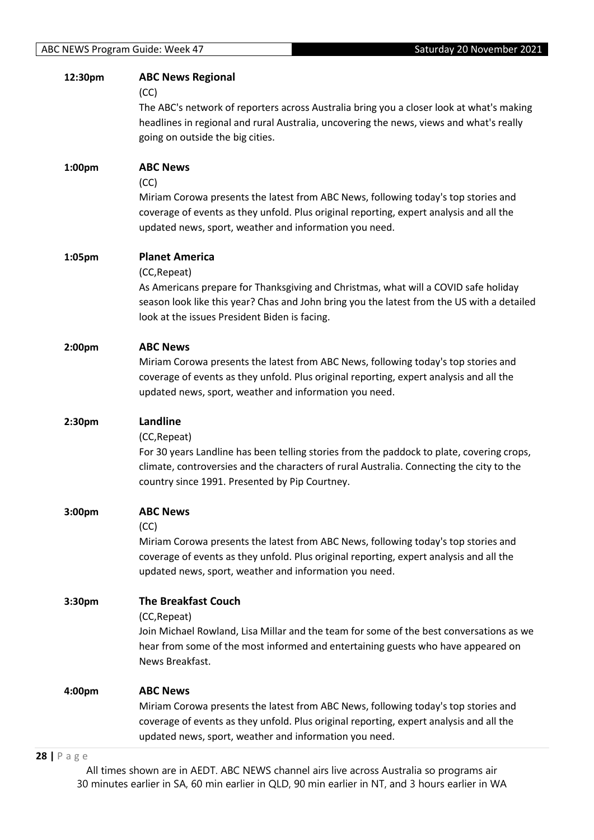| 12:30pm | <b>ABC News Regional</b>                                                                                                                          |
|---------|---------------------------------------------------------------------------------------------------------------------------------------------------|
|         | (CC)                                                                                                                                              |
|         | The ABC's network of reporters across Australia bring you a closer look at what's making                                                          |
|         | headlines in regional and rural Australia, uncovering the news, views and what's really                                                           |
|         | going on outside the big cities.                                                                                                                  |
|         |                                                                                                                                                   |
| 1:00pm  | <b>ABC News</b>                                                                                                                                   |
|         | (CC)                                                                                                                                              |
|         | Miriam Corowa presents the latest from ABC News, following today's top stories and                                                                |
|         | coverage of events as they unfold. Plus original reporting, expert analysis and all the                                                           |
|         |                                                                                                                                                   |
|         | updated news, sport, weather and information you need.                                                                                            |
| 1:05pm  | <b>Planet America</b>                                                                                                                             |
|         | (CC, Repeat)                                                                                                                                      |
|         | As Americans prepare for Thanksgiving and Christmas, what will a COVID safe holiday                                                               |
|         | season look like this year? Chas and John bring you the latest from the US with a detailed                                                        |
|         |                                                                                                                                                   |
|         | look at the issues President Biden is facing.                                                                                                     |
| 2:00pm  | <b>ABC News</b>                                                                                                                                   |
|         | Miriam Corowa presents the latest from ABC News, following today's top stories and                                                                |
|         | coverage of events as they unfold. Plus original reporting, expert analysis and all the                                                           |
|         |                                                                                                                                                   |
|         | updated news, sport, weather and information you need.                                                                                            |
| 2:30pm  | Landline                                                                                                                                          |
|         | (CC, Repeat)                                                                                                                                      |
|         | For 30 years Landline has been telling stories from the paddock to plate, covering crops,                                                         |
|         | climate, controversies and the characters of rural Australia. Connecting the city to the                                                          |
|         | country since 1991. Presented by Pip Courtney.                                                                                                    |
|         |                                                                                                                                                   |
| 3:00pm  | <b>ABC News</b>                                                                                                                                   |
|         | (CC)                                                                                                                                              |
|         | Miriam Corowa presents the latest from ABC News, following today's top stories and                                                                |
|         | coverage of events as they unfold. Plus original reporting, expert analysis and all the                                                           |
|         | updated news, sport, weather and information you need.                                                                                            |
|         |                                                                                                                                                   |
| 3:30pm  | <b>The Breakfast Couch</b>                                                                                                                        |
|         | (CC, Repeat)                                                                                                                                      |
|         | Join Michael Rowland, Lisa Millar and the team for some of the best conversations as we                                                           |
|         | hear from some of the most informed and entertaining guests who have appeared on                                                                  |
|         | News Breakfast.                                                                                                                                   |
|         |                                                                                                                                                   |
| 4:00pm  | <b>ABC News</b>                                                                                                                                   |
|         |                                                                                                                                                   |
|         | Miriam Corowa presents the latest from ABC News, following today's top stories and                                                                |
|         | coverage of events as they unfold. Plus original reporting, expert analysis and all the<br>updated news, sport, weather and information you need. |

#### **28 |** P a g e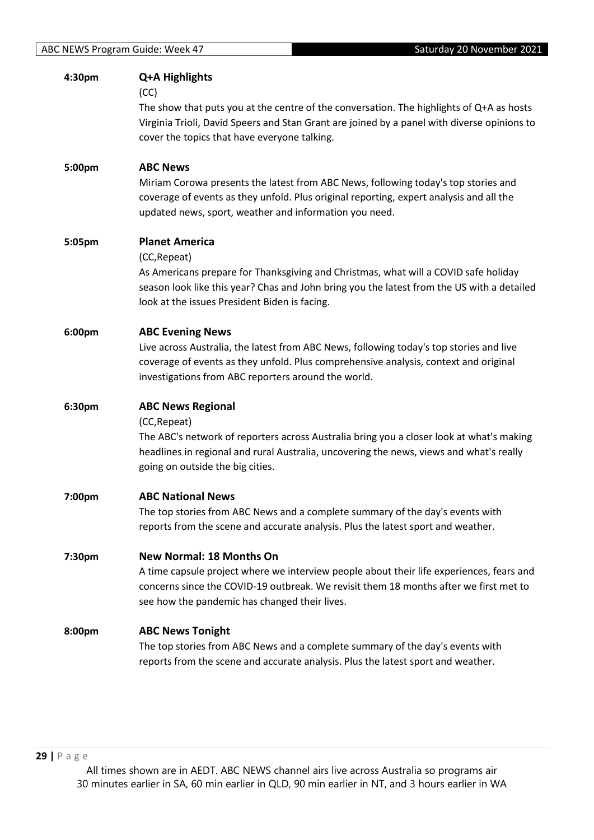| 4:30pm | Q+A Highlights                                                                              |
|--------|---------------------------------------------------------------------------------------------|
|        | (CC)                                                                                        |
|        | The show that puts you at the centre of the conversation. The highlights of Q+A as hosts    |
|        | Virginia Trioli, David Speers and Stan Grant are joined by a panel with diverse opinions to |
|        | cover the topics that have everyone talking.                                                |
| 5:00pm | <b>ABC News</b>                                                                             |
|        | Miriam Corowa presents the latest from ABC News, following today's top stories and          |
|        | coverage of events as they unfold. Plus original reporting, expert analysis and all the     |
|        | updated news, sport, weather and information you need.                                      |
| 5:05pm | <b>Planet America</b>                                                                       |
|        | (CC, Repeat)                                                                                |
|        | As Americans prepare for Thanksgiving and Christmas, what will a COVID safe holiday         |
|        | season look like this year? Chas and John bring you the latest from the US with a detailed  |
|        | look at the issues President Biden is facing.                                               |
| 6:00pm | <b>ABC Evening News</b>                                                                     |
|        | Live across Australia, the latest from ABC News, following today's top stories and live     |
|        | coverage of events as they unfold. Plus comprehensive analysis, context and original        |
|        | investigations from ABC reporters around the world.                                         |
| 6:30pm | <b>ABC News Regional</b>                                                                    |
|        | (CC, Repeat)                                                                                |
|        | The ABC's network of reporters across Australia bring you a closer look at what's making    |
|        | headlines in regional and rural Australia, uncovering the news, views and what's really     |
|        | going on outside the big cities.                                                            |
| 7:00pm | <b>ABC National News</b>                                                                    |
|        | The top stories from ABC News and a complete summary of the day's events with               |
|        | reports from the scene and accurate analysis. Plus the latest sport and weather.            |
| 7:30pm | <b>New Normal: 18 Months On</b>                                                             |
|        | A time capsule project where we interview people about their life experiences, fears and    |
|        | concerns since the COVID-19 outbreak. We revisit them 18 months after we first met to       |
|        | see how the pandemic has changed their lives.                                               |
| 8:00pm | <b>ABC News Tonight</b>                                                                     |
|        | The top stories from ABC News and a complete summary of the day's events with               |
|        | reports from the scene and accurate analysis. Plus the latest sport and weather.            |
|        |                                                                                             |
|        |                                                                                             |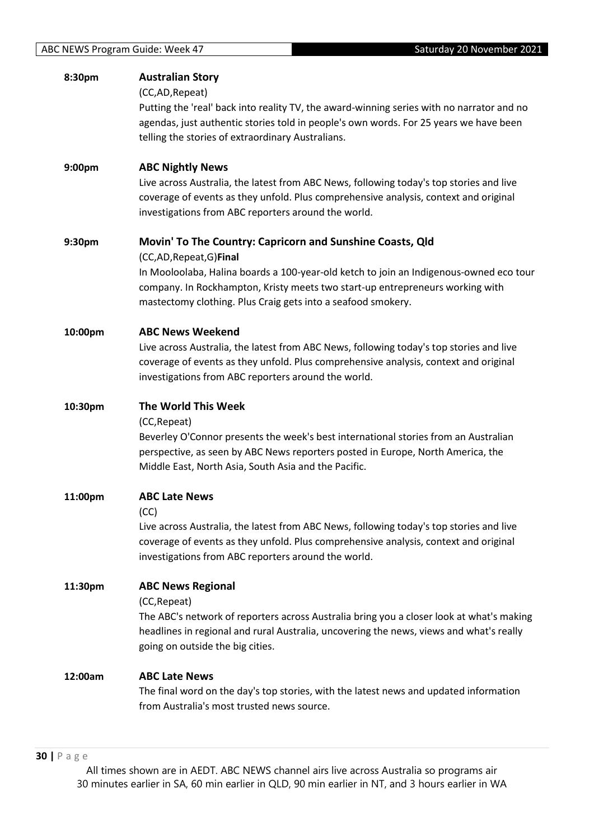| 8:30pm             | <b>Australian Story</b><br>(CC,AD, Repeat)<br>Putting the 'real' back into reality TV, the award-winning series with no narrator and no<br>agendas, just authentic stories told in people's own words. For 25 years we have been<br>telling the stories of extraordinary Australians.                                            |
|--------------------|----------------------------------------------------------------------------------------------------------------------------------------------------------------------------------------------------------------------------------------------------------------------------------------------------------------------------------|
| 9:00 <sub>pm</sub> | <b>ABC Nightly News</b><br>Live across Australia, the latest from ABC News, following today's top stories and live<br>coverage of events as they unfold. Plus comprehensive analysis, context and original<br>investigations from ABC reporters around the world.                                                                |
| 9:30pm             | Movin' To The Country: Capricorn and Sunshine Coasts, Qld<br>(CC,AD, Repeat, G) Final<br>In Mooloolaba, Halina boards a 100-year-old ketch to join an Indigenous-owned eco tour<br>company. In Rockhampton, Kristy meets two start-up entrepreneurs working with<br>mastectomy clothing. Plus Craig gets into a seafood smokery. |
| 10:00pm            | <b>ABC News Weekend</b><br>Live across Australia, the latest from ABC News, following today's top stories and live<br>coverage of events as they unfold. Plus comprehensive analysis, context and original<br>investigations from ABC reporters around the world.                                                                |
| 10:30pm            | The World This Week<br>(CC, Repeat)<br>Beverley O'Connor presents the week's best international stories from an Australian<br>perspective, as seen by ABC News reporters posted in Europe, North America, the<br>Middle East, North Asia, South Asia and the Pacific.                                                            |
| 11:00pm            | <b>ABC Late News</b><br>(CC)<br>Live across Australia, the latest from ABC News, following today's top stories and live<br>coverage of events as they unfold. Plus comprehensive analysis, context and original<br>investigations from ABC reporters around the world.                                                           |
| 11:30pm            | <b>ABC News Regional</b><br>(CC, Repeat)<br>The ABC's network of reporters across Australia bring you a closer look at what's making<br>headlines in regional and rural Australia, uncovering the news, views and what's really<br>going on outside the big cities.                                                              |
| 12:00am            | <b>ABC Late News</b><br>The final word on the day's top stories, with the latest news and updated information<br>from Australia's most trusted news source.                                                                                                                                                                      |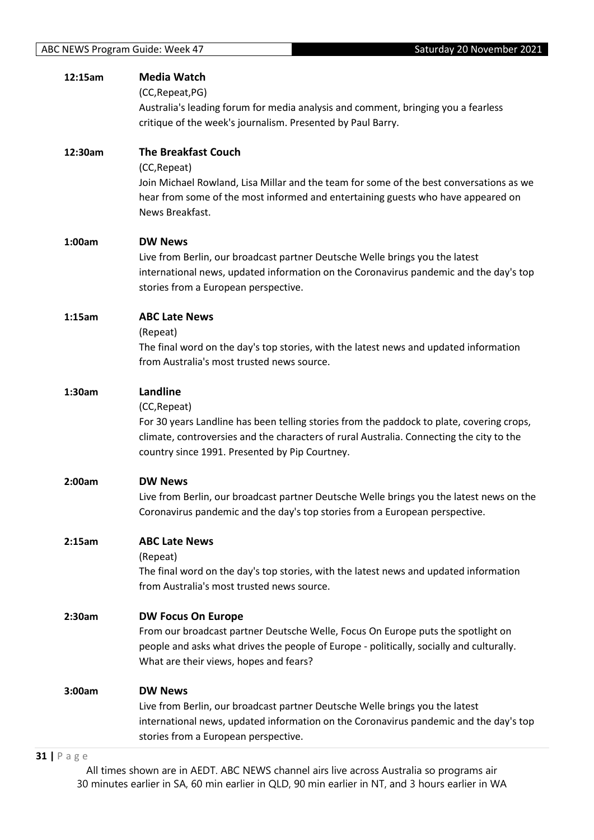| 12:15am | <b>Media Watch</b>                                                                        |
|---------|-------------------------------------------------------------------------------------------|
|         | (CC, Repeat, PG)                                                                          |
|         | Australia's leading forum for media analysis and comment, bringing you a fearless         |
|         | critique of the week's journalism. Presented by Paul Barry.                               |
|         |                                                                                           |
| 12:30am | <b>The Breakfast Couch</b>                                                                |
|         | (CC, Repeat)                                                                              |
|         | Join Michael Rowland, Lisa Millar and the team for some of the best conversations as we   |
|         | hear from some of the most informed and entertaining guests who have appeared on          |
|         | News Breakfast.                                                                           |
| 1:00am  | <b>DW News</b>                                                                            |
|         | Live from Berlin, our broadcast partner Deutsche Welle brings you the latest              |
|         | international news, updated information on the Coronavirus pandemic and the day's top     |
|         | stories from a European perspective.                                                      |
|         |                                                                                           |
| 1:15am  | <b>ABC Late News</b>                                                                      |
|         | (Repeat)                                                                                  |
|         | The final word on the day's top stories, with the latest news and updated information     |
|         | from Australia's most trusted news source.                                                |
| 1:30am  | Landline                                                                                  |
|         | (CC, Repeat)                                                                              |
|         | For 30 years Landline has been telling stories from the paddock to plate, covering crops, |
|         | climate, controversies and the characters of rural Australia. Connecting the city to the  |
|         | country since 1991. Presented by Pip Courtney.                                            |
|         |                                                                                           |
| 2:00am  | <b>DW News</b>                                                                            |
|         | Live from Berlin, our broadcast partner Deutsche Welle brings you the latest news on the  |
|         | Coronavirus pandemic and the day's top stories from a European perspective.               |
| 2:15am  | <b>ABC Late News</b>                                                                      |
|         | (Repeat)                                                                                  |
|         | The final word on the day's top stories, with the latest news and updated information     |
|         | from Australia's most trusted news source.                                                |
|         |                                                                                           |
| 2:30am  | <b>DW Focus On Europe</b>                                                                 |
|         | From our broadcast partner Deutsche Welle, Focus On Europe puts the spotlight on          |
|         | people and asks what drives the people of Europe - politically, socially and culturally.  |
|         | What are their views, hopes and fears?                                                    |
| 3:00am  | <b>DW News</b>                                                                            |
|         | Live from Berlin, our broadcast partner Deutsche Welle brings you the latest              |
|         | international news, updated information on the Coronavirus pandemic and the day's top     |
|         | stories from a European perspective.                                                      |
|         |                                                                                           |